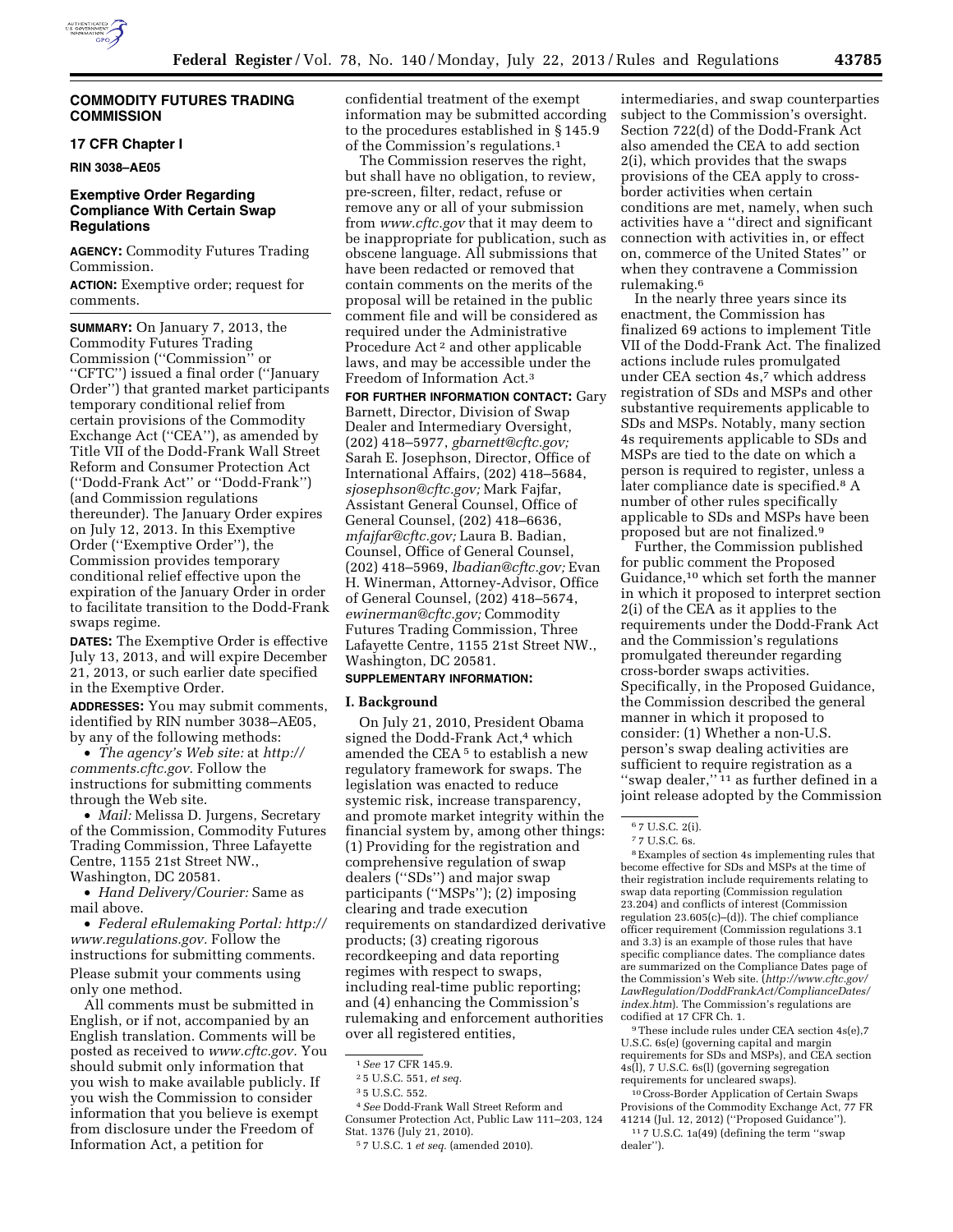

# **COMMODITY FUTURES TRADING COMMISSION**

## **17 CFR Chapter I**

**RIN 3038–AE05** 

# **Exemptive Order Regarding Compliance With Certain Swap Regulations**

**AGENCY:** Commodity Futures Trading Commission.

**ACTION:** Exemptive order; request for comments.

**SUMMARY:** On January 7, 2013, the Commodity Futures Trading Commission (''Commission'' or ''CFTC'') issued a final order (''January Order'') that granted market participants temporary conditional relief from certain provisions of the Commodity Exchange Act (''CEA''), as amended by Title VII of the Dodd-Frank Wall Street Reform and Consumer Protection Act (''Dodd-Frank Act'' or ''Dodd-Frank'') (and Commission regulations thereunder). The January Order expires on July 12, 2013. In this Exemptive Order (''Exemptive Order''), the Commission provides temporary conditional relief effective upon the expiration of the January Order in order to facilitate transition to the Dodd-Frank swaps regime.

**DATES:** The Exemptive Order is effective July 13, 2013, and will expire December 21, 2013, or such earlier date specified in the Exemptive Order.

**ADDRESSES:** You may submit comments, identified by RIN number 3038–AE05, by any of the following methods:

• *The agency's Web site:* at *[http://](http://comments.cftc.gov) [comments.cftc.gov.](http://comments.cftc.gov)* Follow the instructions for submitting comments through the Web site.

• *Mail:* Melissa D. Jurgens, Secretary of the Commission, Commodity Futures Trading Commission, Three Lafayette Centre, 1155 21st Street NW., Washington, DC 20581.

• *Hand Delivery/Courier:* Same as mail above.

• *Federal eRulemaking Portal: [http://](http://www.regulations.gov)  [www.regulations.gov.](http://www.regulations.gov)* Follow the instructions for submitting comments. Please submit your comments using only one method.

All comments must be submitted in English, or if not, accompanied by an English translation. Comments will be posted as received to *[www.cftc.gov.](http://www.cftc.gov)* You should submit only information that you wish to make available publicly. If you wish the Commission to consider information that you believe is exempt from disclosure under the Freedom of Information Act, a petition for

confidential treatment of the exempt information may be submitted according to the procedures established in § 145.9 of the Commission's regulations.1

The Commission reserves the right, but shall have no obligation, to review, pre-screen, filter, redact, refuse or remove any or all of your submission from *[www.cftc.gov](http://www.cftc.gov)* that it may deem to be inappropriate for publication, such as obscene language. All submissions that have been redacted or removed that contain comments on the merits of the proposal will be retained in the public comment file and will be considered as required under the Administrative Procedure Act 2 and other applicable laws, and may be accessible under the Freedom of Information Act.3

**FOR FURTHER INFORMATION CONTACT:** Gary Barnett, Director, Division of Swap Dealer and Intermediary Oversight, (202) 418–5977, *[gbarnett@cftc.gov;](mailto:gbarnett@cftc.gov)*  Sarah E. Josephson, Director, Office of International Affairs, (202) 418–5684, *[sjosephson@cftc.gov;](mailto:sjosephson@cftc.gov)* Mark Fajfar, Assistant General Counsel, Office of General Counsel, (202) 418–6636, *[mfajfar@cftc.gov;](mailto:mfajfar@cftc.gov)* Laura B. Badian, Counsel, Office of General Counsel, (202) 418–5969, *[lbadian@cftc.gov;](mailto:lbadian@cftc.gov)* Evan H. Winerman, Attorney-Advisor, Office of General Counsel, (202) 418–5674, *[ewinerman@cftc.gov;](mailto:ewinerman@cftc.gov)* Commodity Futures Trading Commission, Three Lafayette Centre, 1155 21st Street NW., Washington, DC 20581.

# **SUPPLEMENTARY INFORMATION:**

#### **I. Background**

On July 21, 2010, President Obama signed the Dodd-Frank Act,<sup>4</sup> which amended the CEA 5 to establish a new regulatory framework for swaps. The legislation was enacted to reduce systemic risk, increase transparency, and promote market integrity within the financial system by, among other things: (1) Providing for the registration and comprehensive regulation of swap dealers (''SDs'') and major swap participants (''MSPs''); (2) imposing clearing and trade execution requirements on standardized derivative products; (3) creating rigorous recordkeeping and data reporting regimes with respect to swaps, including real-time public reporting; and (4) enhancing the Commission's rulemaking and enforcement authorities over all registered entities,

4*See* Dodd-Frank Wall Street Reform and Consumer Protection Act, Public Law 111–203, 124 Stat. 1376 (July 21, 2010).

intermediaries, and swap counterparties subject to the Commission's oversight. Section 722(d) of the Dodd-Frank Act also amended the CEA to add section 2(i), which provides that the swaps provisions of the CEA apply to crossborder activities when certain conditions are met, namely, when such activities have a ''direct and significant connection with activities in, or effect on, commerce of the United States'' or when they contravene a Commission rulemaking.6

In the nearly three years since its enactment, the Commission has finalized 69 actions to implement Title VII of the Dodd-Frank Act. The finalized actions include rules promulgated under CEA section 4s,7 which address registration of SDs and MSPs and other substantive requirements applicable to SDs and MSPs. Notably, many section 4s requirements applicable to SDs and MSPs are tied to the date on which a person is required to register, unless a later compliance date is specified.8 A number of other rules specifically applicable to SDs and MSPs have been proposed but are not finalized.9

Further, the Commission published for public comment the Proposed Guidance,<sup>10</sup> which set forth the manner in which it proposed to interpret section 2(i) of the CEA as it applies to the requirements under the Dodd-Frank Act and the Commission's regulations promulgated thereunder regarding cross-border swaps activities. Specifically, in the Proposed Guidance, the Commission described the general manner in which it proposed to consider: (1) Whether a non-U.S. person's swap dealing activities are sufficient to require registration as a "swap dealer,"<sup>11</sup> as further defined in a joint release adopted by the Commission

8Examples of section 4s implementing rules that become effective for SDs and MSPs at the time of their registration include requirements relating to swap data reporting (Commission regulation 23.204) and conflicts of interest (Commission regulation 23.605(c)–(d)). The chief compliance officer requirement (Commission regulations 3.1 and 3.3) is an example of those rules that have specific compliance dates. The compliance dates are summarized on the Compliance Dates page of the Commission's Web site. (*[http://www.cftc.gov/](http://www.cftc.gov/LawRegulation/DoddFrankAct/ComplianceDates/index.htm)  [LawRegulation/DoddFrankAct/ComplianceDates/](http://www.cftc.gov/LawRegulation/DoddFrankAct/ComplianceDates/index.htm) [index.htm](http://www.cftc.gov/LawRegulation/DoddFrankAct/ComplianceDates/index.htm)*). The Commission's regulations are codified at 17 CFR Ch. 1.

9These include rules under CEA section 4s(e),7 U.S.C. 6s(e) (governing capital and margin requirements for SDs and MSPs), and CEA section 4s(l), 7 U.S.C. 6s(l) (governing segregation requirements for uncleared swaps).

10Cross-Border Application of Certain Swaps Provisions of the Commodity Exchange Act, 77 FR 41214 (Jul. 12, 2012) (''Proposed Guidance''). 11 7 U.S.C. 1a(49) (defining the term ''swap dealer'').

<sup>1</sup>*See* 17 CFR 145.9.

<sup>2</sup> 5 U.S.C. 551, *et seq.* 

<sup>3</sup> 5 U.S.C. 552.

<sup>5</sup> 7 U.S.C. 1 *et seq.* (amended 2010).

<sup>6</sup> 7 U.S.C. 2(i).

<sup>7</sup> 7 U.S.C. 6s.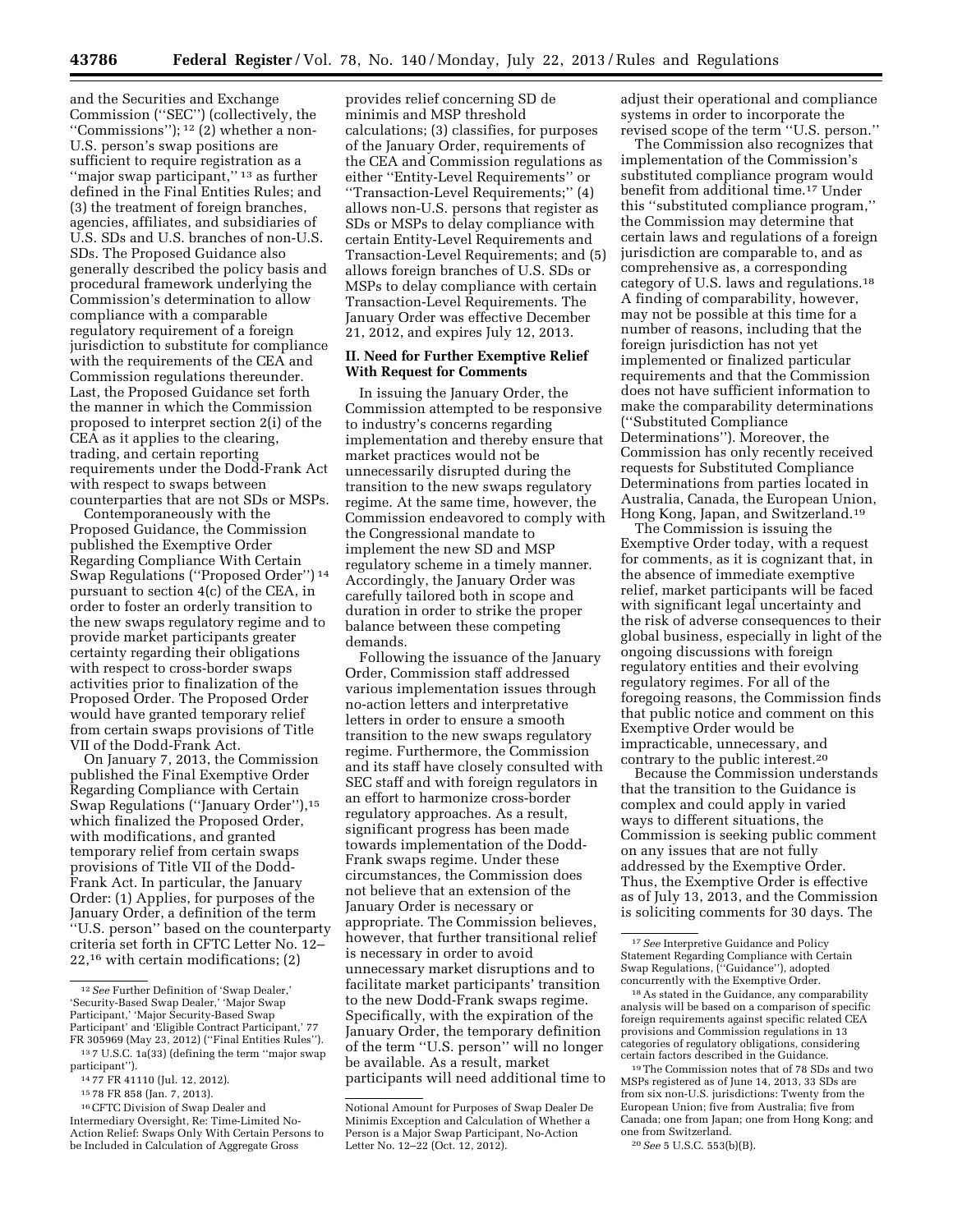and the Securities and Exchange Commission (''SEC'') (collectively, the ''Commissions''); 12 (2) whether a non-U.S. person's swap positions are sufficient to require registration as a "major swap participant,"<sup>13</sup> as further defined in the Final Entities Rules; and (3) the treatment of foreign branches, agencies, affiliates, and subsidiaries of U.S. SDs and U.S. branches of non-U.S. SDs. The Proposed Guidance also generally described the policy basis and procedural framework underlying the Commission's determination to allow compliance with a comparable regulatory requirement of a foreign jurisdiction to substitute for compliance with the requirements of the CEA and Commission regulations thereunder. Last, the Proposed Guidance set forth the manner in which the Commission proposed to interpret section 2(i) of the CEA as it applies to the clearing, trading, and certain reporting requirements under the Dodd-Frank Act with respect to swaps between counterparties that are not SDs or MSPs.

Contemporaneously with the Proposed Guidance, the Commission published the Exemptive Order Regarding Compliance With Certain Swap Regulations (''Proposed Order'') 14 pursuant to section 4(c) of the CEA, in order to foster an orderly transition to the new swaps regulatory regime and to provide market participants greater certainty regarding their obligations with respect to cross-border swaps activities prior to finalization of the Proposed Order. The Proposed Order would have granted temporary relief from certain swaps provisions of Title VII of the Dodd-Frank Act.

On January 7, 2013, the Commission published the Final Exemptive Order Regarding Compliance with Certain Swap Regulations (''January Order''),15 which finalized the Proposed Order, with modifications, and granted temporary relief from certain swaps provisions of Title VII of the Dodd-Frank Act. In particular, the January Order: (1) Applies, for purposes of the January Order, a definition of the term ''U.S. person'' based on the counterparty criteria set forth in CFTC Letter No. 12– 22,16 with certain modifications; (2)

provides relief concerning SD de minimis and MSP threshold calculations; (3) classifies, for purposes of the January Order, requirements of the CEA and Commission regulations as either ''Entity-Level Requirements'' or ''Transaction-Level Requirements;'' (4) allows non-U.S. persons that register as SDs or MSPs to delay compliance with certain Entity-Level Requirements and Transaction-Level Requirements; and (5) allows foreign branches of U.S. SDs or MSPs to delay compliance with certain Transaction-Level Requirements. The January Order was effective December 21, 2012, and expires July 12, 2013.

## **II. Need for Further Exemptive Relief With Request for Comments**

In issuing the January Order, the Commission attempted to be responsive to industry's concerns regarding implementation and thereby ensure that market practices would not be unnecessarily disrupted during the transition to the new swaps regulatory regime. At the same time, however, the Commission endeavored to comply with the Congressional mandate to implement the new SD and MSP regulatory scheme in a timely manner. Accordingly, the January Order was carefully tailored both in scope and duration in order to strike the proper balance between these competing demands.

Following the issuance of the January Order, Commission staff addressed various implementation issues through no-action letters and interpretative letters in order to ensure a smooth transition to the new swaps regulatory regime. Furthermore, the Commission and its staff have closely consulted with SEC staff and with foreign regulators in an effort to harmonize cross-border regulatory approaches. As a result, significant progress has been made towards implementation of the Dodd-Frank swaps regime. Under these circumstances, the Commission does not believe that an extension of the January Order is necessary or appropriate. The Commission believes, however, that further transitional relief is necessary in order to avoid unnecessary market disruptions and to facilitate market participants' transition to the new Dodd-Frank swaps regime. Specifically, with the expiration of the January Order, the temporary definition of the term ''U.S. person'' will no longer be available. As a result, market participants will need additional time to adjust their operational and compliance systems in order to incorporate the revised scope of the term ''U.S. person.''

The Commission also recognizes that implementation of the Commission's substituted compliance program would benefit from additional time.17 Under this ''substituted compliance program,'' the Commission may determine that certain laws and regulations of a foreign jurisdiction are comparable to, and as comprehensive as, a corresponding category of U.S. laws and regulations.18 A finding of comparability, however, may not be possible at this time for a number of reasons, including that the foreign jurisdiction has not yet implemented or finalized particular requirements and that the Commission does not have sufficient information to make the comparability determinations (''Substituted Compliance Determinations''). Moreover, the Commission has only recently received requests for Substituted Compliance Determinations from parties located in Australia, Canada, the European Union, Hong Kong, Japan, and Switzerland.19

The Commission is issuing the Exemptive Order today, with a request for comments, as it is cognizant that, in the absence of immediate exemptive relief, market participants will be faced with significant legal uncertainty and the risk of adverse consequences to their global business, especially in light of the ongoing discussions with foreign regulatory entities and their evolving regulatory regimes. For all of the foregoing reasons, the Commission finds that public notice and comment on this Exemptive Order would be impracticable, unnecessary, and contrary to the public interest.20

Because the Commission understands that the transition to the Guidance is complex and could apply in varied ways to different situations, the Commission is seeking public comment on any issues that are not fully addressed by the Exemptive Order. Thus, the Exemptive Order is effective as of July 13, 2013, and the Commission is soliciting comments for 30 days. The

20*See* 5 U.S.C. 553(b)(B).

<sup>12</sup>*See* Further Definition of 'Swap Dealer,' 'Security-Based Swap Dealer,' 'Major Swap Participant,' 'Major Security-Based Swap Participant' and 'Eligible Contract Participant,' 77 FR 305969 (May 23, 2012) (''Final Entities Rules'').

<sup>13</sup> 7 U.S.C. 1a(33) (defining the term ''major swap participant'').

<sup>14</sup> 77 FR 41110 (Jul. 12, 2012).

<sup>15</sup> 78 FR 858 (Jan. 7, 2013).

<sup>16</sup>CFTC Division of Swap Dealer and Intermediary Oversight, Re: Time-Limited No-Action Relief: Swaps Only With Certain Persons to be Included in Calculation of Aggregate Gross

Notional Amount for Purposes of Swap Dealer De Minimis Exception and Calculation of Whether a Person is a Major Swap Participant, No-Action Letter No. 12–22 (Oct. 12, 2012).

<sup>17</sup>*See* Interpretive Guidance and Policy Statement Regarding Compliance with Certain Swap Regulations, (''Guidance''), adopted concurrently with the Exemptive Order.

<sup>18</sup>As stated in the Guidance, any comparability analysis will be based on a comparison of specific foreign requirements against specific related CEA provisions and Commission regulations in 13 categories of regulatory obligations, considering certain factors described in the Guidance.

<sup>19</sup>The Commission notes that of 78 SDs and two MSPs registered as of June 14, 2013, 33 SDs are from six non-U.S. jurisdictions: Twenty from the European Union; five from Australia; five from Canada; one from Japan; one from Hong Kong; and one from Switzerland.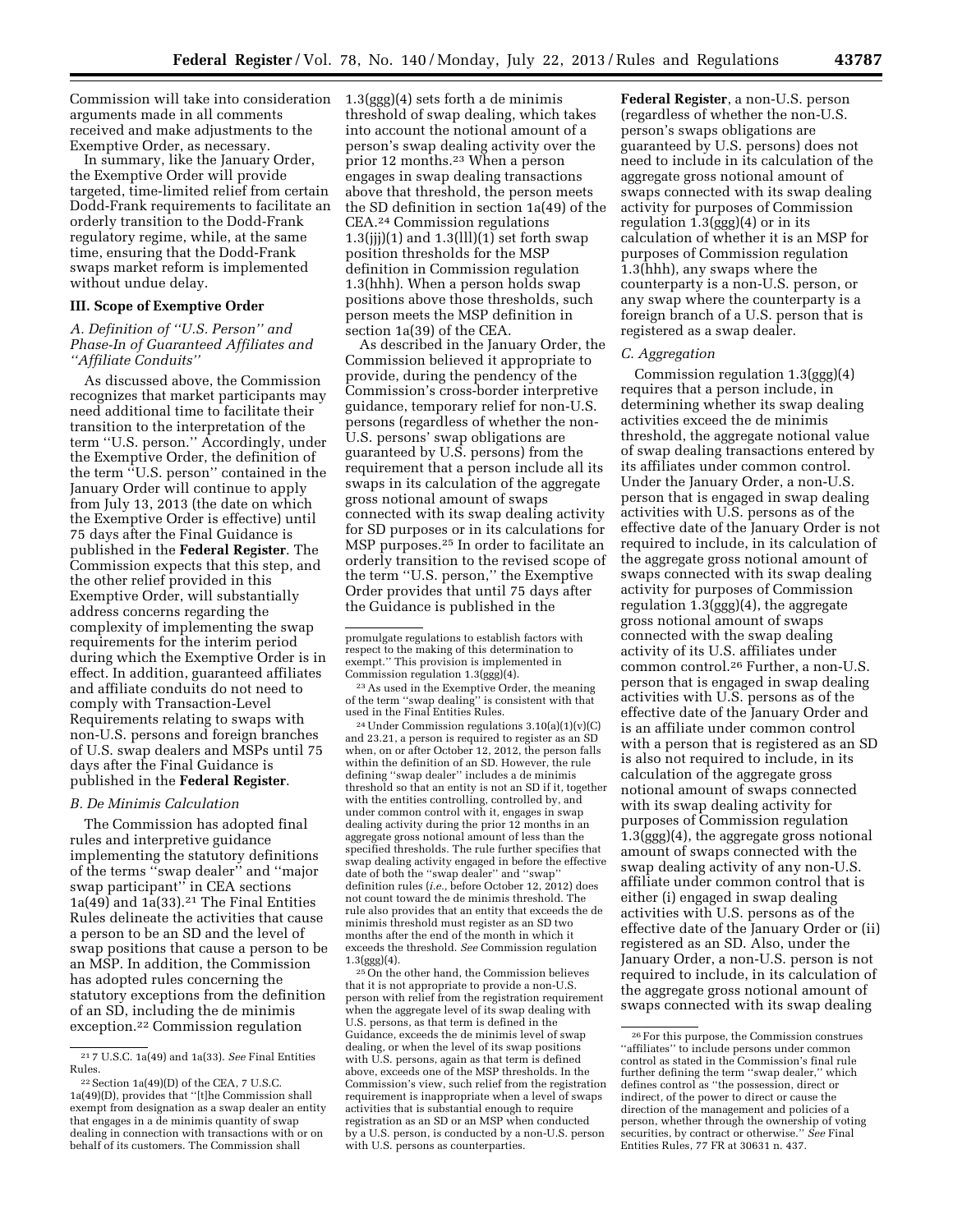Commission will take into consideration 1.3(ggg)(4) sets forth a de minimis arguments made in all comments received and make adjustments to the Exemptive Order, as necessary.

In summary, like the January Order, the Exemptive Order will provide targeted, time-limited relief from certain Dodd-Frank requirements to facilitate an orderly transition to the Dodd-Frank regulatory regime, while, at the same time, ensuring that the Dodd-Frank swaps market reform is implemented without undue delay.

## **III. Scope of Exemptive Order**

## *A. Definition of ''U.S. Person'' and Phase-In of Guaranteed Affiliates and ''Affiliate Conduits''*

As discussed above, the Commission recognizes that market participants may need additional time to facilitate their transition to the interpretation of the term ''U.S. person.'' Accordingly, under the Exemptive Order, the definition of the term "U.S. person" contained in the January Order will continue to apply from July 13, 2013 (the date on which the Exemptive Order is effective) until 75 days after the Final Guidance is published in the **Federal Register**. The Commission expects that this step, and the other relief provided in this Exemptive Order, will substantially address concerns regarding the complexity of implementing the swap requirements for the interim period during which the Exemptive Order is in effect. In addition, guaranteed affiliates and affiliate conduits do not need to comply with Transaction-Level Requirements relating to swaps with non-U.S. persons and foreign branches of U.S. swap dealers and MSPs until 75 days after the Final Guidance is published in the **Federal Register**.

### *B. De Minimis Calculation*

The Commission has adopted final rules and interpretive guidance implementing the statutory definitions of the terms ''swap dealer'' and ''major swap participant'' in CEA sections  $1a(49)$  and  $1a(33).<sup>21</sup>$  The Final Entities Rules delineate the activities that cause a person to be an SD and the level of swap positions that cause a person to be an MSP. In addition, the Commission has adopted rules concerning the statutory exceptions from the definition of an SD, including the de minimis exception.22 Commission regulation

threshold of swap dealing, which takes into account the notional amount of a person's swap dealing activity over the prior 12 months.23 When a person engages in swap dealing transactions above that threshold, the person meets the SD definition in section 1a(49) of the CEA.24 Commission regulations  $1.3(iii)(1)$  and  $1.3(iii)(1)$  set forth swap position thresholds for the MSP definition in Commission regulation 1.3(hhh). When a person holds swap positions above those thresholds, such person meets the MSP definition in section 1a(39) of the CEA.

As described in the January Order, the Commission believed it appropriate to provide, during the pendency of the Commission's cross-border interpretive guidance, temporary relief for non-U.S. persons (regardless of whether the non-U.S. persons' swap obligations are guaranteed by U.S. persons) from the requirement that a person include all its swaps in its calculation of the aggregate gross notional amount of swaps connected with its swap dealing activity for SD purposes or in its calculations for MSP purposes.25 In order to facilitate an orderly transition to the revised scope of the term ''U.S. person,'' the Exemptive Order provides that until 75 days after the Guidance is published in the

24Under Commission regulations 3.10(a)(1)(v)(C) and 23.21, a person is required to register as an SD when, on or after October 12, 2012, the person falls within the definition of an SD. However, the rule defining ''swap dealer'' includes a de minimis threshold so that an entity is not an SD if it, together with the entities controlling, controlled by, and under common control with it, engages in swap dealing activity during the prior 12 months in an aggregate gross notional amount of less than the specified thresholds. The rule further specifies that swap dealing activity engaged in before the effective date of both the ''swap dealer'' and ''swap'' definition rules (*i.e.,* before October 12, 2012) does not count toward the de minimis threshold. The rule also provides that an entity that exceeds the de minimis threshold must register as an SD two months after the end of the month in which it exceeds the threshold. *See* Commission regulation  $1.3(ggg)(4)$ .

25On the other hand, the Commission believes that it is not appropriate to provide a non-U.S. person with relief from the registration requirement when the aggregate level of its swap dealing with U.S. persons, as that term is defined in the Guidance, exceeds the de minimis level of swap dealing, or when the level of its swap positions with U.S. persons, again as that term is defined above, exceeds one of the MSP thresholds. In the Commission's view, such relief from the registration requirement is inappropriate when a level of swaps activities that is substantial enough to require registration as an SD or an MSP when conducted by a U.S. person, is conducted by a non-U.S. person with U.S. persons as counterparties.

**Federal Register**, a non-U.S. person (regardless of whether the non-U.S. person's swaps obligations are guaranteed by U.S. persons) does not need to include in its calculation of the aggregate gross notional amount of swaps connected with its swap dealing activity for purposes of Commission regulation 1.3(ggg)(4) or in its calculation of whether it is an MSP for purposes of Commission regulation 1.3(hhh), any swaps where the counterparty is a non-U.S. person, or any swap where the counterparty is a foreign branch of a U.S. person that is registered as a swap dealer.

### *C. Aggregation*

Commission regulation 1.3(ggg)(4) requires that a person include, in determining whether its swap dealing activities exceed the de minimis threshold, the aggregate notional value of swap dealing transactions entered by its affiliates under common control. Under the January Order, a non-U.S. person that is engaged in swap dealing activities with U.S. persons as of the effective date of the January Order is not required to include, in its calculation of the aggregate gross notional amount of swaps connected with its swap dealing activity for purposes of Commission regulation 1.3(ggg)(4), the aggregate gross notional amount of swaps connected with the swap dealing activity of its U.S. affiliates under common control.26 Further, a non-U.S. person that is engaged in swap dealing activities with U.S. persons as of the effective date of the January Order and is an affiliate under common control with a person that is registered as an SD is also not required to include, in its calculation of the aggregate gross notional amount of swaps connected with its swap dealing activity for purposes of Commission regulation 1.3(ggg)(4), the aggregate gross notional amount of swaps connected with the swap dealing activity of any non-U.S. affiliate under common control that is either (i) engaged in swap dealing activities with U.S. persons as of the effective date of the January Order or (ii) registered as an SD. Also, under the January Order, a non-U.S. person is not required to include, in its calculation of the aggregate gross notional amount of swaps connected with its swap dealing

<sup>21</sup> 7 U.S.C. 1a(49) and 1a(33). *See* Final Entities Rules.

 $22$  Section 1a(49)(D) of the CEA, 7 U.S.C. 1a(49)(D), provides that ''[t]he Commission shall exempt from designation as a swap dealer an entity that engages in a de minimis quantity of swap dealing in connection with transactions with or on behalf of its customers. The Commission shall

promulgate regulations to establish factors with respect to the making of this determination to exempt." This provision is implemented in<br>Commission regulation 1.3(ggg)(4).

<sup>&</sup>lt;sup>23</sup> As used in the Exemptive Order, the meaning of the term ''swap dealing'' is consistent with that used in the Final Entities Rules.

 $^{\rm 26}$  For this purpose, the Commission construes ''affiliates'' to include persons under common control as stated in the Commission's final rule further defining the term ''swap dealer,'' which defines control as ''the possession, direct or indirect, of the power to direct or cause the direction of the management and policies of a person, whether through the ownership of voting securities, by contract or otherwise.'' *See* Final Entities Rules, 77 FR at 30631 n. 437.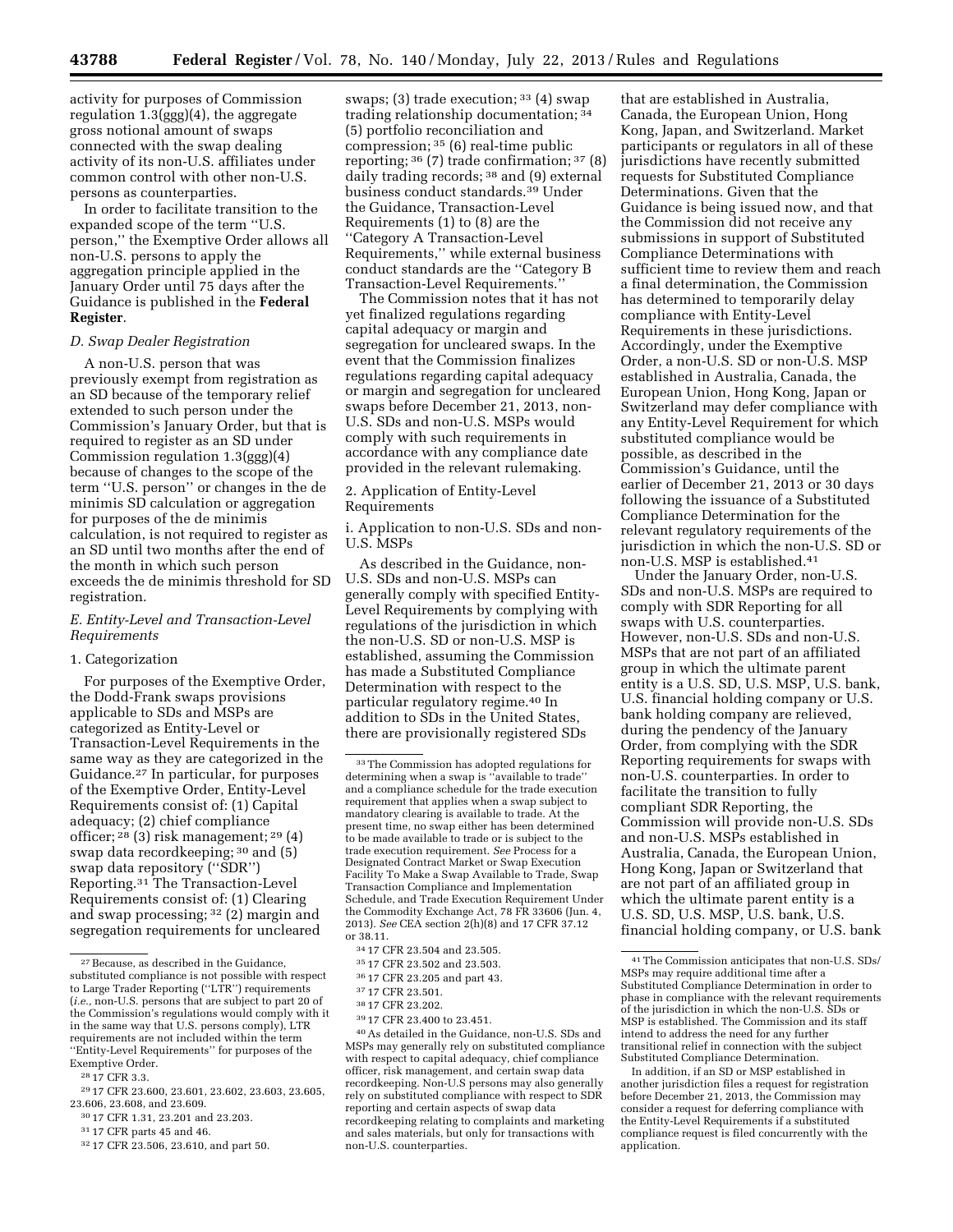activity for purposes of Commission regulation 1.3(ggg)(4), the aggregate gross notional amount of swaps connected with the swap dealing activity of its non-U.S. affiliates under common control with other non-U.S. persons as counterparties.

In order to facilitate transition to the expanded scope of the term ''U.S. person,'' the Exemptive Order allows all non-U.S. persons to apply the aggregation principle applied in the January Order until 75 days after the Guidance is published in the **Federal Register**.

### *D. Swap Dealer Registration*

A non-U.S. person that was previously exempt from registration as an SD because of the temporary relief extended to such person under the Commission's January Order, but that is required to register as an SD under Commission regulation 1.3(ggg)(4) because of changes to the scope of the term ''U.S. person'' or changes in the de minimis SD calculation or aggregation for purposes of the de minimis calculation, is not required to register as an SD until two months after the end of the month in which such person exceeds the de minimis threshold for SD registration.

### *E. Entity-Level and Transaction-Level Requirements*

#### 1. Categorization

For purposes of the Exemptive Order, the Dodd-Frank swaps provisions applicable to SDs and MSPs are categorized as Entity-Level or Transaction-Level Requirements in the same way as they are categorized in the Guidance.27 In particular, for purposes of the Exemptive Order, Entity-Level Requirements consist of: (1) Capital adequacy; (2) chief compliance officer; 28 (3) risk management; 29 (4) swap data recordkeeping; 30 and (5) swap data repository (''SDR'') Reporting.31 The Transaction-Level Requirements consist of: (1) Clearing and swap processing; 32 (2) margin and segregation requirements for uncleared

swaps; (3) trade execution;  $33(4)$  swap trading relationship documentation; 34 (5) portfolio reconciliation and compression; 35 (6) real-time public reporting; 36 (7) trade confirmation; 37 (8) daily trading records; 38 and (9) external business conduct standards.39 Under the Guidance, Transaction-Level Requirements (1) to (8) are the ''Category A Transaction-Level Requirements,'' while external business conduct standards are the ''Category B Transaction-Level Requirements.''

The Commission notes that it has not yet finalized regulations regarding capital adequacy or margin and segregation for uncleared swaps. In the event that the Commission finalizes regulations regarding capital adequacy or margin and segregation for uncleared swaps before December 21, 2013, non-U.S. SDs and non-U.S. MSPs would comply with such requirements in accordance with any compliance date provided in the relevant rulemaking.

2. Application of Entity-Level Requirements

i. Application to non-U.S. SDs and non-U.S. MSPs

As described in the Guidance, non-U.S. SDs and non-U.S. MSPs can generally comply with specified Entity-Level Requirements by complying with regulations of the jurisdiction in which the non-U.S. SD or non-U.S. MSP is established, assuming the Commission has made a Substituted Compliance Determination with respect to the particular regulatory regime.40 In addition to SDs in the United States, there are provisionally registered SDs

39 17 CFR 23.400 to 23.451.

40As detailed in the Guidance, non-U.S. SDs and MSPs may generally rely on substituted compliance with respect to capital adequacy, chief compliance officer, risk management, and certain swap data recordkeeping. Non-U.S persons may also generally rely on substituted compliance with respect to SDR reporting and certain aspects of swap data recordkeeping relating to complaints and marketing and sales materials, but only for transactions with non-U.S. counterparties.

that are established in Australia, Canada, the European Union, Hong Kong, Japan, and Switzerland. Market participants or regulators in all of these jurisdictions have recently submitted requests for Substituted Compliance Determinations. Given that the Guidance is being issued now, and that the Commission did not receive any submissions in support of Substituted Compliance Determinations with sufficient time to review them and reach a final determination, the Commission has determined to temporarily delay compliance with Entity-Level Requirements in these jurisdictions. Accordingly, under the Exemptive Order, a non-U.S. SD or non-U.S. MSP established in Australia, Canada, the European Union, Hong Kong, Japan or Switzerland may defer compliance with any Entity-Level Requirement for which substituted compliance would be possible, as described in the Commission's Guidance, until the earlier of December 21, 2013 or 30 days following the issuance of a Substituted Compliance Determination for the relevant regulatory requirements of the jurisdiction in which the non-U.S. SD or non-U.S. MSP is established.41

Under the January Order, non-U.S. SDs and non-U.S. MSPs are required to comply with SDR Reporting for all swaps with U.S. counterparties. However, non-U.S. SDs and non-U.S. MSPs that are not part of an affiliated group in which the ultimate parent entity is a U.S. SD, U.S. MSP, U.S. bank, U.S. financial holding company or U.S. bank holding company are relieved, during the pendency of the January Order, from complying with the SDR Reporting requirements for swaps with non-U.S. counterparties. In order to facilitate the transition to fully compliant SDR Reporting, the Commission will provide non-U.S. SDs and non-U.S. MSPs established in Australia, Canada, the European Union, Hong Kong, Japan or Switzerland that are not part of an affiliated group in which the ultimate parent entity is a U.S. SD, U.S. MSP, U.S. bank, U.S. financial holding company, or U.S. bank

<sup>27</sup>Because, as described in the Guidance, substituted compliance is not possible with respect to Large Trader Reporting (''LTR'') requirements (*i.e.,* non-U.S. persons that are subject to part 20 of the Commission's regulations would comply with it in the same way that U.S. persons comply), LTR requirements are not included within the term ''Entity-Level Requirements'' for purposes of the Exemptive Order.

<sup>28</sup> 17 CFR 3.3.

<sup>29</sup> 17 CFR 23.600, 23.601, 23.602, 23.603, 23.605, 23.606, 23.608, and 23.609.

<sup>30</sup> 17 CFR 1.31, 23.201 and 23.203.

<sup>31</sup> 17 CFR parts 45 and 46.

<sup>32</sup> 17 CFR 23.506, 23.610, and part 50.

<sup>33</sup>The Commission has adopted regulations for determining when a swap is ''available to trade'' and a compliance schedule for the trade execution requirement that applies when a swap subject to mandatory clearing is available to trade. At the present time, no swap either has been determined to be made available to trade or is subject to the trade execution requirement. *See* Process for a Designated Contract Market or Swap Execution Facility To Make a Swap Available to Trade, Swap Transaction Compliance and Implementation Schedule, and Trade Execution Requirement Under the Commodity Exchange Act, 78 FR 33606 (Jun. 4, 2013). *See* CEA section 2(h)(8) and 17 CFR 37.12 or 38.11.

<sup>34</sup> 17 CFR 23.504 and 23.505.

<sup>35</sup> 17 CFR 23.502 and 23.503.

<sup>36</sup> 17 CFR 23.205 and part 43.

<sup>37</sup> 17 CFR 23.501.

<sup>38</sup> 17 CFR 23.202.

<sup>41</sup>The Commission anticipates that non-U.S. SDs/ MSPs may require additional time after a Substituted Compliance Determination in order to phase in compliance with the relevant requirements of the jurisdiction in which the non-U.S. SDs or MSP is established. The Commission and its staff intend to address the need for any further transitional relief in connection with the subject Substituted Compliance Determination.

In addition, if an SD or MSP established in another jurisdiction files a request for registration before December 21, 2013, the Commission may consider a request for deferring compliance with the Entity-Level Requirements if a substituted compliance request is filed concurrently with the application.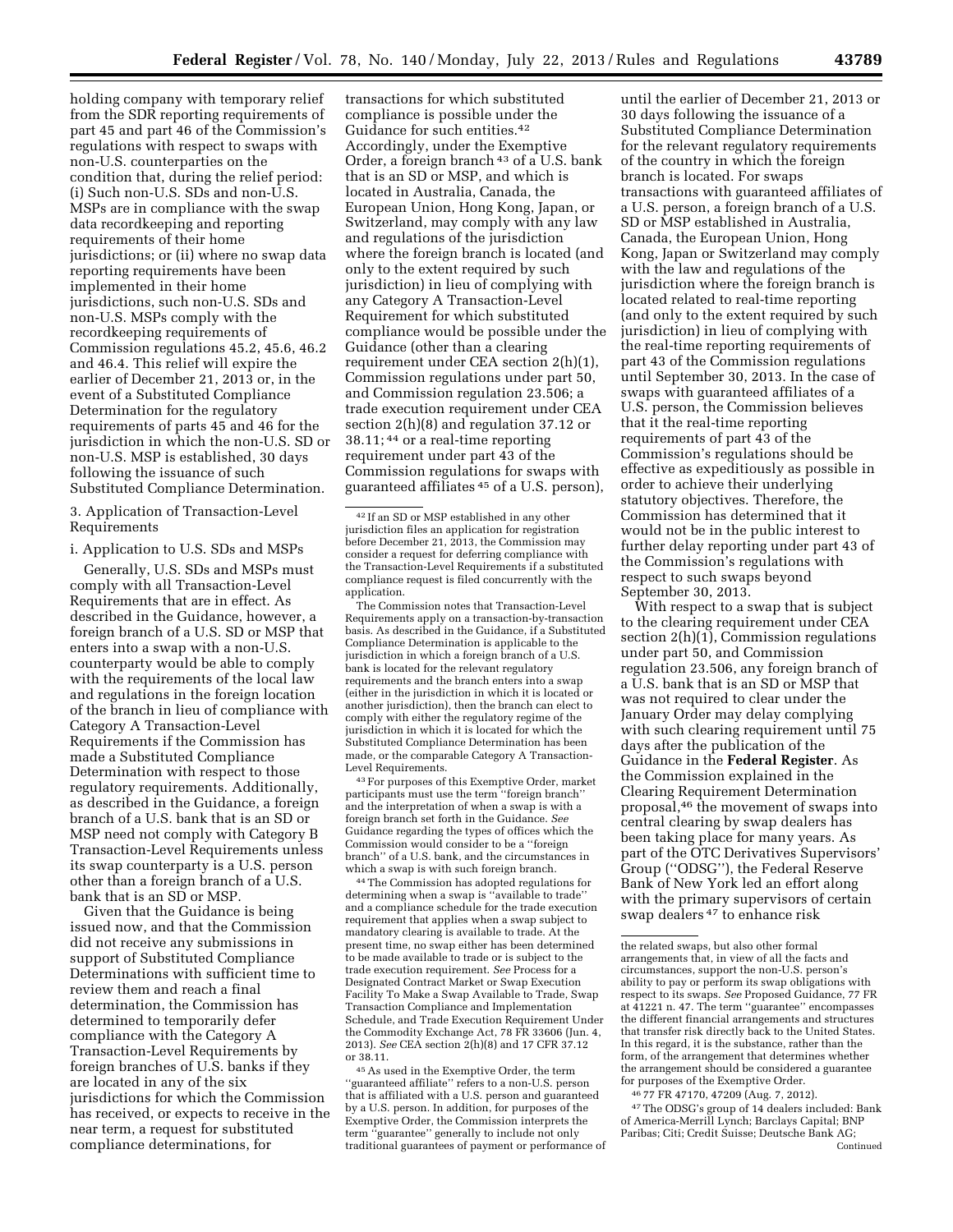holding company with temporary relief from the SDR reporting requirements of part 45 and part 46 of the Commission's regulations with respect to swaps with non-U.S. counterparties on the condition that, during the relief period: (i) Such non-U.S. SDs and non-U.S. MSPs are in compliance with the swap data recordkeeping and reporting requirements of their home jurisdictions; or (ii) where no swap data reporting requirements have been implemented in their home jurisdictions, such non-U.S. SDs and non-U.S. MSPs comply with the recordkeeping requirements of Commission regulations 45.2, 45.6, 46.2 and 46.4. This relief will expire the earlier of December 21, 2013 or, in the event of a Substituted Compliance Determination for the regulatory requirements of parts 45 and 46 for the jurisdiction in which the non-U.S. SD or non-U.S. MSP is established, 30 days following the issuance of such Substituted Compliance Determination.

3. Application of Transaction-Level Requirements

i. Application to U.S. SDs and MSPs

Generally, U.S. SDs and MSPs must comply with all Transaction-Level Requirements that are in effect. As described in the Guidance, however, a foreign branch of a U.S. SD or MSP that enters into a swap with a non-U.S. counterparty would be able to comply with the requirements of the local law and regulations in the foreign location of the branch in lieu of compliance with Category A Transaction-Level Requirements if the Commission has made a Substituted Compliance Determination with respect to those regulatory requirements. Additionally, as described in the Guidance, a foreign branch of a U.S. bank that is an SD or MSP need not comply with Category B Transaction-Level Requirements unless its swap counterparty is a U.S. person other than a foreign branch of a U.S. bank that is an SD or MSP.

Given that the Guidance is being issued now, and that the Commission did not receive any submissions in support of Substituted Compliance Determinations with sufficient time to review them and reach a final determination, the Commission has determined to temporarily defer compliance with the Category A Transaction-Level Requirements by foreign branches of U.S. banks if they are located in any of the six jurisdictions for which the Commission has received, or expects to receive in the near term, a request for substituted compliance determinations, for

transactions for which substituted compliance is possible under the Guidance for such entities.42 Accordingly, under the Exemptive Order, a foreign branch 43 of a U.S. bank that is an SD or MSP, and which is located in Australia, Canada, the European Union, Hong Kong, Japan, or Switzerland, may comply with any law and regulations of the jurisdiction where the foreign branch is located (and only to the extent required by such jurisdiction) in lieu of complying with any Category A Transaction-Level Requirement for which substituted compliance would be possible under the Guidance (other than a clearing requirement under CEA section 2(h)(1), Commission regulations under part 50, and Commission regulation 23.506; a trade execution requirement under CEA section 2(h)(8) and regulation 37.12 or 38.11; 44 or a real-time reporting requirement under part 43 of the Commission regulations for swaps with guaranteed affiliates 45 of a U.S. person),

The Commission notes that Transaction-Level Requirements apply on a transaction-by-transaction basis. As described in the Guidance, if a Substituted Compliance Determination is applicable to the jurisdiction in which a foreign branch of a U.S. bank is located for the relevant regulatory requirements and the branch enters into a swap (either in the jurisdiction in which it is located or another jurisdiction), then the branch can elect to comply with either the regulatory regime of the jurisdiction in which it is located for which the Substituted Compliance Determination has been made, or the comparable Category A Transaction-Level Requirements.

43For purposes of this Exemptive Order, market participants must use the term ''foreign branch'' and the interpretation of when a swap is with a foreign branch set forth in the Guidance. *See*  Guidance regarding the types of offices which the Commission would consider to be a ''foreign branch'' of a U.S. bank, and the circumstances in which a swap is with such foreign branch.

44The Commission has adopted regulations for determining when a swap is ''available to trade'' and a compliance schedule for the trade execution requirement that applies when a swap subject to mandatory clearing is available to trade. At the present time, no swap either has been determined to be made available to trade or is subject to the trade execution requirement. *See* Process for a Designated Contract Market or Swap Execution Facility To Make a Swap Available to Trade, Swap Transaction Compliance and Implementation Schedule, and Trade Execution Requirement Under the Commodity Exchange Act, 78 FR 33606 (Jun. 4, 2013). *See* CEA section 2(h)(8) and 17 CFR 37.12 or 38.11.

45As used in the Exemptive Order, the term ''guaranteed affiliate'' refers to a non-U.S. person that is affiliated with a U.S. person and guaranteed by a U.S. person. In addition, for purposes of the Exemptive Order, the Commission interprets the term ''guarantee'' generally to include not only traditional guarantees of payment or performance of

until the earlier of December 21, 2013 or 30 days following the issuance of a Substituted Compliance Determination for the relevant regulatory requirements of the country in which the foreign branch is located. For swaps transactions with guaranteed affiliates of a U.S. person, a foreign branch of a U.S. SD or MSP established in Australia, Canada, the European Union, Hong Kong, Japan or Switzerland may comply with the law and regulations of the jurisdiction where the foreign branch is located related to real-time reporting (and only to the extent required by such jurisdiction) in lieu of complying with the real-time reporting requirements of part 43 of the Commission regulations until September 30, 2013. In the case of swaps with guaranteed affiliates of a U.S. person, the Commission believes that it the real-time reporting requirements of part 43 of the Commission's regulations should be effective as expeditiously as possible in order to achieve their underlying statutory objectives. Therefore, the Commission has determined that it would not be in the public interest to further delay reporting under part 43 of the Commission's regulations with respect to such swaps beyond September 30, 2013.

With respect to a swap that is subject to the clearing requirement under CEA section  $2(h)(1)$ , Commission regulations under part 50, and Commission regulation 23.506, any foreign branch of a U.S. bank that is an SD or MSP that was not required to clear under the January Order may delay complying with such clearing requirement until 75 days after the publication of the Guidance in the **Federal Register**. As the Commission explained in the Clearing Requirement Determination proposal,46 the movement of swaps into central clearing by swap dealers has been taking place for many years. As part of the OTC Derivatives Supervisors' Group (''ODSG''), the Federal Reserve Bank of New York led an effort along with the primary supervisors of certain swap dealers 47 to enhance risk

46 77 FR 47170, 47209 (Aug. 7, 2012).

47The ODSG's group of 14 dealers included: Bank of America-Merrill Lynch; Barclays Capital; BNP Paribas; Citi; Credit Suisse; Deutsche Bank AG; Continued

<sup>42</sup> If an SD or MSP established in any other jurisdiction files an application for registration before December 21, 2013, the Commission may consider a request for deferring compliance with the Transaction-Level Requirements if a substituted compliance request is filed concurrently with the application.

the related swaps, but also other formal arrangements that, in view of all the facts and circumstances, support the non-U.S. person's ability to pay or perform its swap obligations with respect to its swaps. *See* Proposed Guidance, 77 FR at 41221 n. 47. The term ''guarantee'' encompasses the different financial arrangements and structures that transfer risk directly back to the United States. In this regard, it is the substance, rather than the form, of the arrangement that determines whether the arrangement should be considered a guarantee for purposes of the Exemptive Order.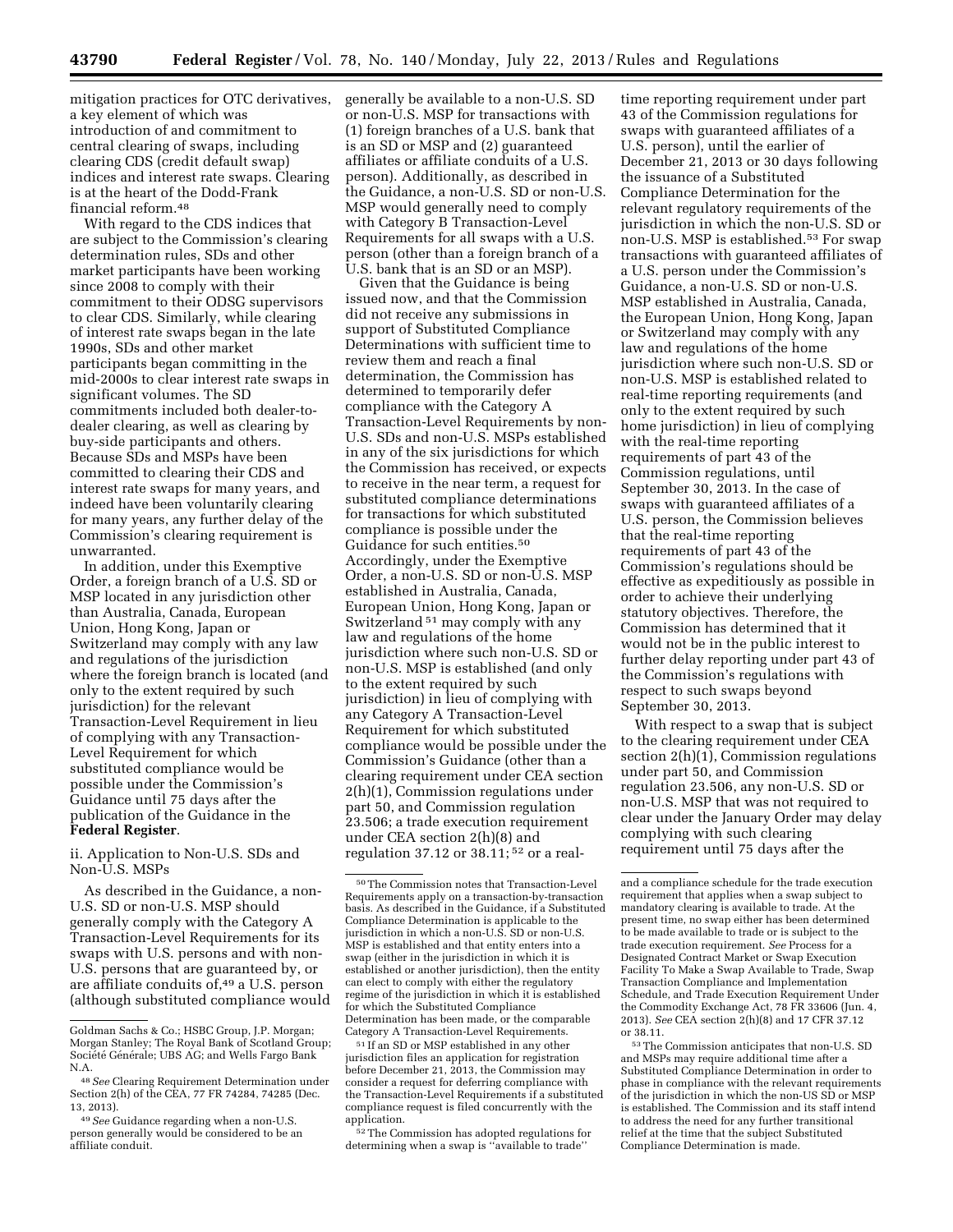mitigation practices for OTC derivatives, a key element of which was introduction of and commitment to central clearing of swaps, including clearing CDS (credit default swap) indices and interest rate swaps. Clearing is at the heart of the Dodd-Frank financial reform.48

With regard to the CDS indices that are subject to the Commission's clearing determination rules, SDs and other market participants have been working since 2008 to comply with their commitment to their ODSG supervisors to clear CDS. Similarly, while clearing of interest rate swaps began in the late 1990s, SDs and other market participants began committing in the mid-2000s to clear interest rate swaps in significant volumes. The SD commitments included both dealer-todealer clearing, as well as clearing by buy-side participants and others. Because SDs and MSPs have been committed to clearing their CDS and interest rate swaps for many years, and indeed have been voluntarily clearing for many years, any further delay of the Commission's clearing requirement is unwarranted.

In addition, under this Exemptive Order, a foreign branch of a U.S. SD or MSP located in any jurisdiction other than Australia, Canada, European Union, Hong Kong, Japan or Switzerland may comply with any law and regulations of the jurisdiction where the foreign branch is located (and only to the extent required by such jurisdiction) for the relevant Transaction-Level Requirement in lieu of complying with any Transaction-Level Requirement for which substituted compliance would be possible under the Commission's Guidance until 75 days after the publication of the Guidance in the **Federal Register**.

ii. Application to Non-U.S. SDs and Non-U.S. MSPs

As described in the Guidance, a non-U.S. SD or non-U.S. MSP should generally comply with the Category A Transaction-Level Requirements for its swaps with U.S. persons and with non-U.S. persons that are guaranteed by, or are affiliate conduits of,<sup>49</sup> a U.S. person (although substituted compliance would generally be available to a non-U.S. SD or non-U.S. MSP for transactions with (1) foreign branches of a U.S. bank that is an SD or MSP and (2) guaranteed affiliates or affiliate conduits of a U.S. person). Additionally, as described in the Guidance, a non-U.S. SD or non-U.S. MSP would generally need to comply with Category B Transaction-Level Requirements for all swaps with a U.S. person (other than a foreign branch of a U.S. bank that is an SD or an MSP).

Given that the Guidance is being issued now, and that the Commission did not receive any submissions in support of Substituted Compliance Determinations with sufficient time to review them and reach a final determination, the Commission has determined to temporarily defer compliance with the Category A Transaction-Level Requirements by non-U.S. SDs and non-U.S. MSPs established in any of the six jurisdictions for which the Commission has received, or expects to receive in the near term, a request for substituted compliance determinations for transactions for which substituted compliance is possible under the Guidance for such entities.50 Accordingly, under the Exemptive Order, a non-U.S. SD or non-U.S. MSP established in Australia, Canada, European Union, Hong Kong, Japan or Switzerland 51 may comply with any law and regulations of the home jurisdiction where such non-U.S. SD or non-U.S. MSP is established (and only to the extent required by such jurisdiction) in lieu of complying with any Category A Transaction-Level Requirement for which substituted compliance would be possible under the Commission's Guidance (other than a clearing requirement under CEA section 2(h)(1), Commission regulations under part 50, and Commission regulation 23.506; a trade execution requirement under CEA section 2(h)(8) and regulation 37.12 or 38.11; 52 or a real-

52The Commission has adopted regulations for determining when a swap is ''available to trade''

time reporting requirement under part 43 of the Commission regulations for swaps with guaranteed affiliates of a U.S. person), until the earlier of December 21, 2013 or 30 days following the issuance of a Substituted Compliance Determination for the relevant regulatory requirements of the jurisdiction in which the non-U.S. SD or non-U.S. MSP is established.<sup>53</sup> For swap transactions with guaranteed affiliates of a U.S. person under the Commission's Guidance, a non-U.S. SD or non-U.S. MSP established in Australia, Canada, the European Union, Hong Kong, Japan or Switzerland may comply with any law and regulations of the home jurisdiction where such non-U.S. SD or non-U.S. MSP is established related to real-time reporting requirements (and only to the extent required by such home jurisdiction) in lieu of complying with the real-time reporting requirements of part 43 of the Commission regulations, until September 30, 2013. In the case of swaps with guaranteed affiliates of a U.S. person, the Commission believes that the real-time reporting requirements of part 43 of the Commission's regulations should be effective as expeditiously as possible in order to achieve their underlying statutory objectives. Therefore, the Commission has determined that it would not be in the public interest to further delay reporting under part 43 of the Commission's regulations with respect to such swaps beyond September 30, 2013.

With respect to a swap that is subject to the clearing requirement under CEA section 2(h)(1), Commission regulations under part 50, and Commission regulation 23.506, any non-U.S. SD or non-U.S. MSP that was not required to clear under the January Order may delay complying with such clearing requirement until 75 days after the

Goldman Sachs & Co.; HSBC Group, J.P. Morgan; Morgan Stanley; The Royal Bank of Scotland Group; Société Générale; UBS AG; and Wells Fargo Bank N.A.

<sup>48</sup>*See* Clearing Requirement Determination under Section 2(h) of the CEA, 77 FR 74284, 74285 (Dec. 13, 2013).

<sup>49</sup>*See* Guidance regarding when a non-U.S. person generally would be considered to be an affiliate conduit.

<sup>50</sup>The Commission notes that Transaction-Level Requirements apply on a transaction-by-transaction basis. As described in the Guidance, if a Substituted Compliance Determination is applicable to the jurisdiction in which a non-U.S. SD or non-U.S. MSP is established and that entity enters into a swap (either in the jurisdiction in which it is established or another jurisdiction), then the entity can elect to comply with either the regulatory regime of the jurisdiction in which it is established for which the Substituted Compliance Determination has been made, or the comparable Category A Transaction-Level Requirements.

<sup>51</sup> If an SD or MSP established in any other jurisdiction files an application for registration before December 21, 2013, the Commission may consider a request for deferring compliance with the Transaction-Level Requirements if a substituted compliance request is filed concurrently with the application.

and a compliance schedule for the trade execution requirement that applies when a swap subject to mandatory clearing is available to trade. At the present time, no swap either has been determined to be made available to trade or is subject to the trade execution requirement. *See* Process for a Designated Contract Market or Swap Execution Facility To Make a Swap Available to Trade, Swap Transaction Compliance and Implementation Schedule, and Trade Execution Requirement Under the Commodity Exchange Act, 78 FR 33606 (Jun. 4, 2013). *See* CEA section 2(h)(8) and 17 CFR 37.12 or 38.11.

<sup>53</sup>The Commission anticipates that non-U.S. SD and MSPs may require additional time after a Substituted Compliance Determination in order to phase in compliance with the relevant requirements of the jurisdiction in which the non-US SD or MSP is established. The Commission and its staff intend to address the need for any further transitional relief at the time that the subject Substituted Compliance Determination is made.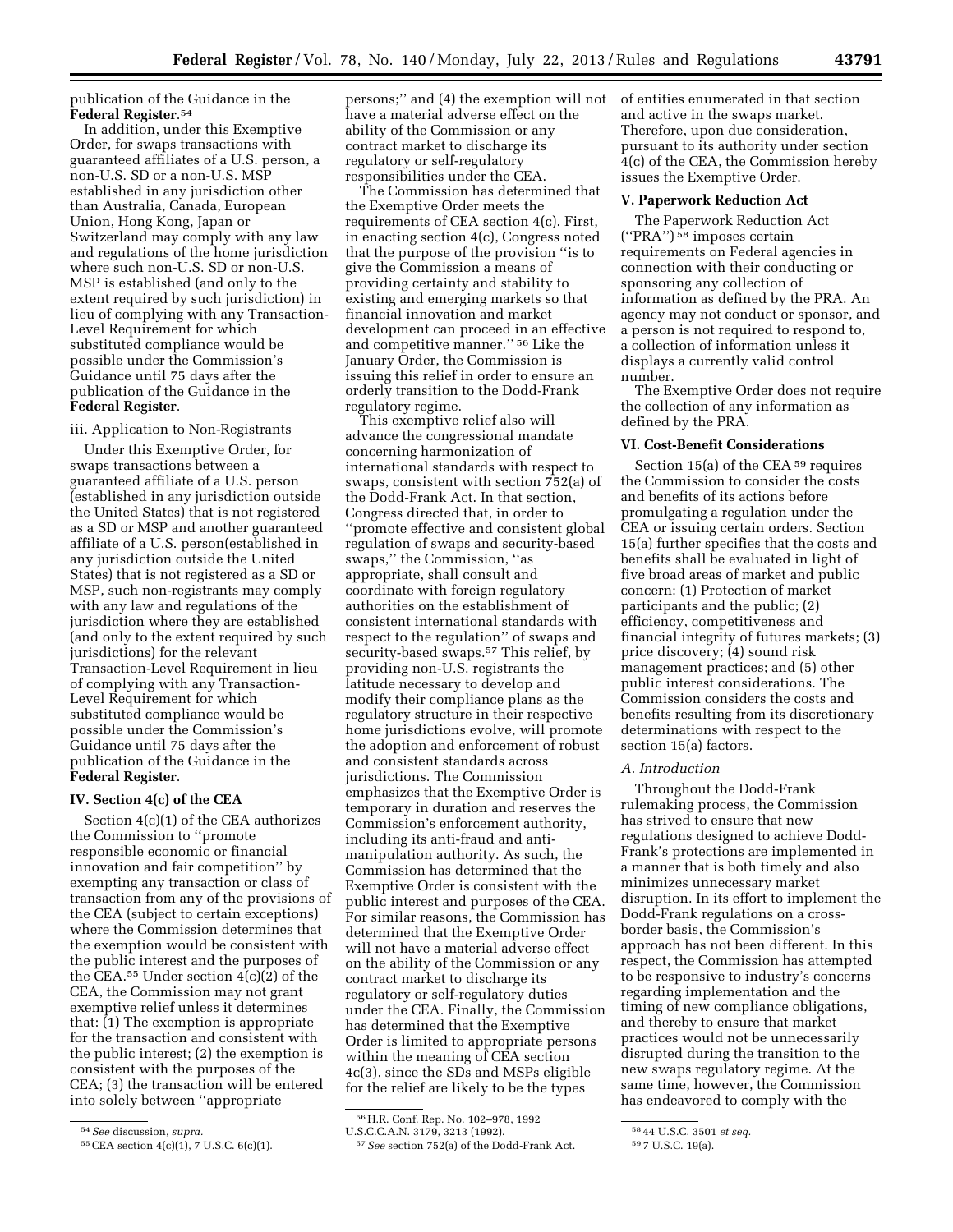publication of the Guidance in the **Federal Register**.54

In addition, under this Exemptive Order, for swaps transactions with guaranteed affiliates of a U.S. person, a non-U.S. SD or a non-U.S. MSP established in any jurisdiction other than Australia, Canada, European Union, Hong Kong, Japan or Switzerland may comply with any law and regulations of the home jurisdiction where such non-U.S. SD or non-U.S. MSP is established (and only to the extent required by such jurisdiction) in lieu of complying with any Transaction-Level Requirement for which substituted compliance would be possible under the Commission's Guidance until 75 days after the publication of the Guidance in the **Federal Register**.

iii. Application to Non-Registrants

Under this Exemptive Order, for swaps transactions between a guaranteed affiliate of a U.S. person (established in any jurisdiction outside the United States) that is not registered as a SD or MSP and another guaranteed affiliate of a U.S. person(established in any jurisdiction outside the United States) that is not registered as a SD or MSP, such non-registrants may comply with any law and regulations of the jurisdiction where they are established (and only to the extent required by such jurisdictions) for the relevant Transaction-Level Requirement in lieu of complying with any Transaction-Level Requirement for which substituted compliance would be possible under the Commission's Guidance until 75 days after the publication of the Guidance in the **Federal Register**.

## **IV. Section 4(c) of the CEA**

Section 4(c)(1) of the CEA authorizes the Commission to ''promote responsible economic or financial innovation and fair competition'' by exempting any transaction or class of transaction from any of the provisions of the CEA (subject to certain exceptions) where the Commission determines that the exemption would be consistent with the public interest and the purposes of the CEA.55 Under section 4(c)(2) of the CEA, the Commission may not grant exemptive relief unless it determines that: (1) The exemption is appropriate for the transaction and consistent with the public interest; (2) the exemption is consistent with the purposes of the CEA; (3) the transaction will be entered into solely between ''appropriate

persons;'' and (4) the exemption will not have a material adverse effect on the ability of the Commission or any contract market to discharge its regulatory or self-regulatory responsibilities under the CEA.

The Commission has determined that the Exemptive Order meets the requirements of CEA section 4(c). First, in enacting section 4(c), Congress noted that the purpose of the provision ''is to give the Commission a means of providing certainty and stability to existing and emerging markets so that financial innovation and market development can proceed in an effective and competitive manner.'' 56 Like the January Order, the Commission is issuing this relief in order to ensure an orderly transition to the Dodd-Frank regulatory regime.

This exemptive relief also will advance the congressional mandate concerning harmonization of international standards with respect to swaps, consistent with section 752(a) of the Dodd-Frank Act. In that section, Congress directed that, in order to ''promote effective and consistent global regulation of swaps and security-based swaps,'' the Commission, ''as appropriate, shall consult and coordinate with foreign regulatory authorities on the establishment of consistent international standards with respect to the regulation'' of swaps and security-based swaps.<sup>57</sup> This relief, by providing non-U.S. registrants the latitude necessary to develop and modify their compliance plans as the regulatory structure in their respective home jurisdictions evolve, will promote the adoption and enforcement of robust and consistent standards across jurisdictions. The Commission emphasizes that the Exemptive Order is temporary in duration and reserves the Commission's enforcement authority, including its anti-fraud and antimanipulation authority. As such, the Commission has determined that the Exemptive Order is consistent with the public interest and purposes of the CEA. For similar reasons, the Commission has determined that the Exemptive Order will not have a material adverse effect on the ability of the Commission or any contract market to discharge its regulatory or self-regulatory duties under the CEA. Finally, the Commission has determined that the Exemptive Order is limited to appropriate persons within the meaning of CEA section 4c(3), since the SDs and MSPs eligible for the relief are likely to be the types

of entities enumerated in that section and active in the swaps market. Therefore, upon due consideration, pursuant to its authority under section 4(c) of the CEA, the Commission hereby issues the Exemptive Order.

#### **V. Paperwork Reduction Act**

The Paperwork Reduction Act (''PRA'') 58 imposes certain requirements on Federal agencies in connection with their conducting or sponsoring any collection of information as defined by the PRA. An agency may not conduct or sponsor, and a person is not required to respond to, a collection of information unless it displays a currently valid control number.

The Exemptive Order does not require the collection of any information as defined by the PRA.

### **VI. Cost-Benefit Considerations**

Section 15(a) of the CEA 59 requires the Commission to consider the costs and benefits of its actions before promulgating a regulation under the CEA or issuing certain orders. Section 15(a) further specifies that the costs and benefits shall be evaluated in light of five broad areas of market and public concern: (1) Protection of market participants and the public; (2) efficiency, competitiveness and financial integrity of futures markets; (3) price discovery; (4) sound risk management practices; and (5) other public interest considerations. The Commission considers the costs and benefits resulting from its discretionary determinations with respect to the section 15(a) factors.

### *A. Introduction*

Throughout the Dodd-Frank rulemaking process, the Commission has strived to ensure that new regulations designed to achieve Dodd-Frank's protections are implemented in a manner that is both timely and also minimizes unnecessary market disruption. In its effort to implement the Dodd-Frank regulations on a crossborder basis, the Commission's approach has not been different. In this respect, the Commission has attempted to be responsive to industry's concerns regarding implementation and the timing of new compliance obligations, and thereby to ensure that market practices would not be unnecessarily disrupted during the transition to the new swaps regulatory regime. At the same time, however, the Commission has endeavored to comply with the

<sup>54</sup>*See* discussion, *supra.* 

<sup>55</sup>CEA section 4(c)(1), 7 U.S.C. 6(c)(1).

<sup>56</sup>H.R. Conf. Rep. No. 102–978, 1992

U.S.C.C.A.N. 3179, 3213 (1992).

<sup>57</sup>*See* section 752(a) of the Dodd-Frank Act.

<sup>58</sup> 44 U.S.C. 3501 *et seq.* 

<sup>59</sup> 7 U.S.C. 19(a).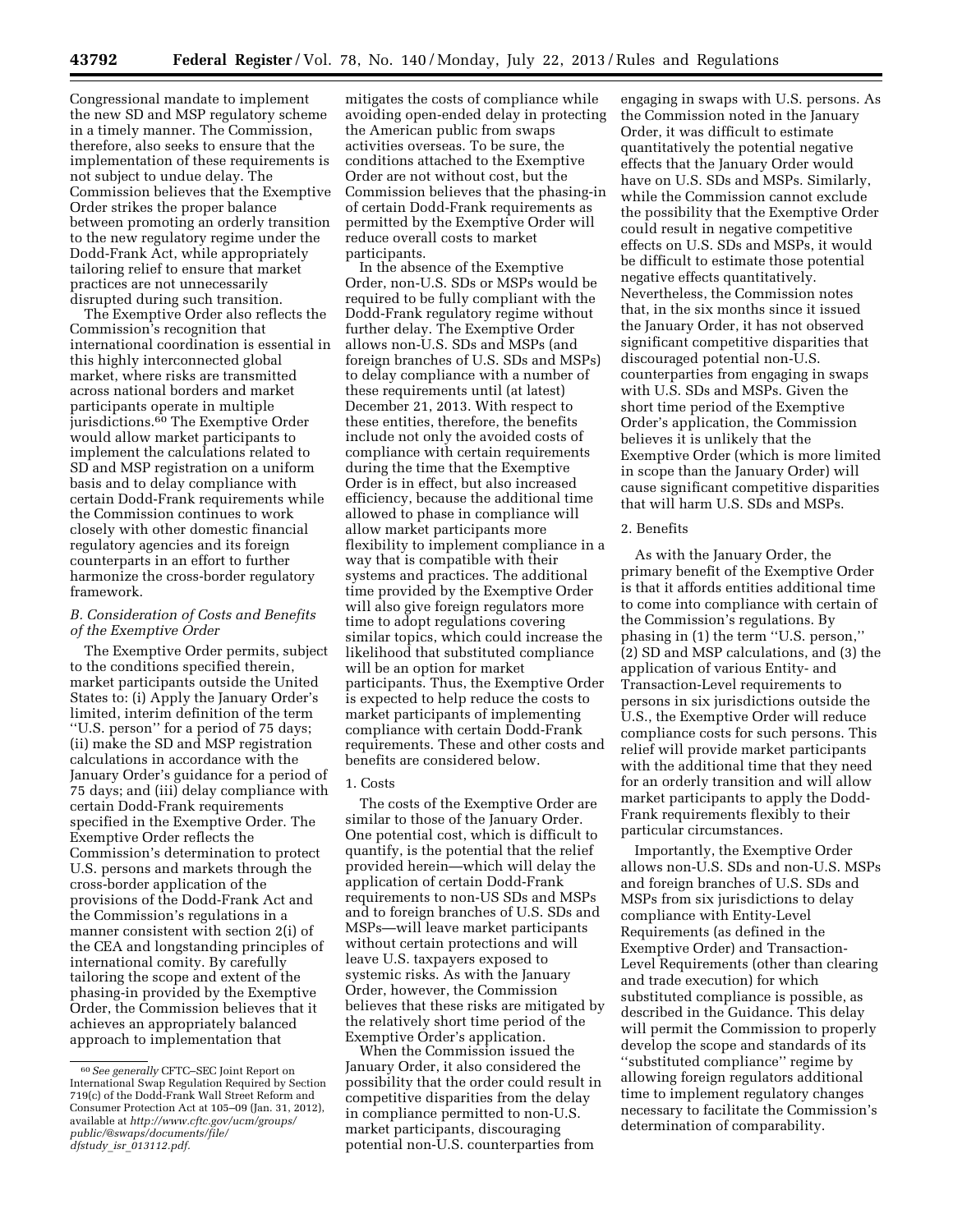Congressional mandate to implement the new SD and MSP regulatory scheme in a timely manner. The Commission, therefore, also seeks to ensure that the implementation of these requirements is not subject to undue delay. The Commission believes that the Exemptive Order strikes the proper balance between promoting an orderly transition to the new regulatory regime under the Dodd-Frank Act, while appropriately tailoring relief to ensure that market practices are not unnecessarily disrupted during such transition.

The Exemptive Order also reflects the Commission's recognition that international coordination is essential in this highly interconnected global market, where risks are transmitted across national borders and market participants operate in multiple jurisdictions.60 The Exemptive Order would allow market participants to implement the calculations related to SD and MSP registration on a uniform basis and to delay compliance with certain Dodd-Frank requirements while the Commission continues to work closely with other domestic financial regulatory agencies and its foreign counterparts in an effort to further harmonize the cross-border regulatory framework.

### *B. Consideration of Costs and Benefits of the Exemptive Order*

The Exemptive Order permits, subject to the conditions specified therein, market participants outside the United States to: (i) Apply the January Order's limited, interim definition of the term ''U.S. person'' for a period of 75 days; (ii) make the SD and MSP registration calculations in accordance with the January Order's guidance for a period of 75 days; and (iii) delay compliance with certain Dodd-Frank requirements specified in the Exemptive Order. The Exemptive Order reflects the Commission's determination to protect U.S. persons and markets through the cross-border application of the provisions of the Dodd-Frank Act and the Commission's regulations in a manner consistent with section 2(i) of the CEA and longstanding principles of international comity. By carefully tailoring the scope and extent of the phasing-in provided by the Exemptive Order, the Commission believes that it achieves an appropriately balanced approach to implementation that

mitigates the costs of compliance while avoiding open-ended delay in protecting the American public from swaps activities overseas. To be sure, the conditions attached to the Exemptive Order are not without cost, but the Commission believes that the phasing-in of certain Dodd-Frank requirements as permitted by the Exemptive Order will reduce overall costs to market participants.

In the absence of the Exemptive Order, non-U.S. SDs or MSPs would be required to be fully compliant with the Dodd-Frank regulatory regime without further delay. The Exemptive Order allows non-U.S. SDs and MSPs (and foreign branches of U.S. SDs and MSPs) to delay compliance with a number of these requirements until (at latest) December 21, 2013. With respect to these entities, therefore, the benefits include not only the avoided costs of compliance with certain requirements during the time that the Exemptive Order is in effect, but also increased efficiency, because the additional time allowed to phase in compliance will allow market participants more flexibility to implement compliance in a way that is compatible with their systems and practices. The additional time provided by the Exemptive Order will also give foreign regulators more time to adopt regulations covering similar topics, which could increase the likelihood that substituted compliance will be an option for market participants. Thus, the Exemptive Order is expected to help reduce the costs to market participants of implementing compliance with certain Dodd-Frank requirements. These and other costs and benefits are considered below.

# 1. Costs

The costs of the Exemptive Order are similar to those of the January Order. One potential cost, which is difficult to quantify, is the potential that the relief provided herein—which will delay the application of certain Dodd-Frank requirements to non-US SDs and MSPs and to foreign branches of U.S. SDs and MSPs—will leave market participants without certain protections and will leave U.S. taxpayers exposed to systemic risks. As with the January Order, however, the Commission believes that these risks are mitigated by the relatively short time period of the Exemptive Order's application.

When the Commission issued the January Order, it also considered the possibility that the order could result in competitive disparities from the delay in compliance permitted to non-U.S. market participants, discouraging potential non-U.S. counterparties from

engaging in swaps with U.S. persons. As the Commission noted in the January Order, it was difficult to estimate quantitatively the potential negative effects that the January Order would have on U.S. SDs and MSPs. Similarly, while the Commission cannot exclude the possibility that the Exemptive Order could result in negative competitive effects on U.S. SDs and MSPs, it would be difficult to estimate those potential negative effects quantitatively. Nevertheless, the Commission notes that, in the six months since it issued the January Order, it has not observed significant competitive disparities that discouraged potential non-U.S. counterparties from engaging in swaps with U.S. SDs and MSPs. Given the short time period of the Exemptive Order's application, the Commission believes it is unlikely that the Exemptive Order (which is more limited in scope than the January Order) will cause significant competitive disparities that will harm U.S. SDs and MSPs.

### 2. Benefits

As with the January Order, the primary benefit of the Exemptive Order is that it affords entities additional time to come into compliance with certain of the Commission's regulations. By phasing in (1) the term ''U.S. person,'' (2) SD and MSP calculations, and (3) the application of various Entity- and Transaction-Level requirements to persons in six jurisdictions outside the U.S., the Exemptive Order will reduce compliance costs for such persons. This relief will provide market participants with the additional time that they need for an orderly transition and will allow market participants to apply the Dodd-Frank requirements flexibly to their particular circumstances.

Importantly, the Exemptive Order allows non-U.S. SDs and non-U.S. MSPs and foreign branches of U.S. SDs and MSPs from six jurisdictions to delay compliance with Entity-Level Requirements (as defined in the Exemptive Order) and Transaction-Level Requirements (other than clearing and trade execution) for which substituted compliance is possible, as described in the Guidance. This delay will permit the Commission to properly develop the scope and standards of its ''substituted compliance'' regime by allowing foreign regulators additional time to implement regulatory changes necessary to facilitate the Commission's determination of comparability.

<sup>60</sup>*See generally* CFTC–SEC Joint Report on International Swap Regulation Required by Section 719(c) of the Dodd-Frank Wall Street Reform and Consumer Protection Act at 105–09 (Jan. 31, 2012), available at *[http://](http://www.cftc.gov/ucm/groups/public/@swaps/documents/file/dfstudy_isr_013112.pdf)[www.cftc.gov](http://www.cftc.gov)[/ucm/groups/](http://www.cftc.gov/ucm/groups/public/@swaps/documents/file/dfstudy_isr_013112.pdf)  [public/@swaps/documents/file/](http://www.cftc.gov/ucm/groups/public/@swaps/documents/file/dfstudy_isr_013112.pdf)  dfstudy*\_*isr*\_*013112.pdf.*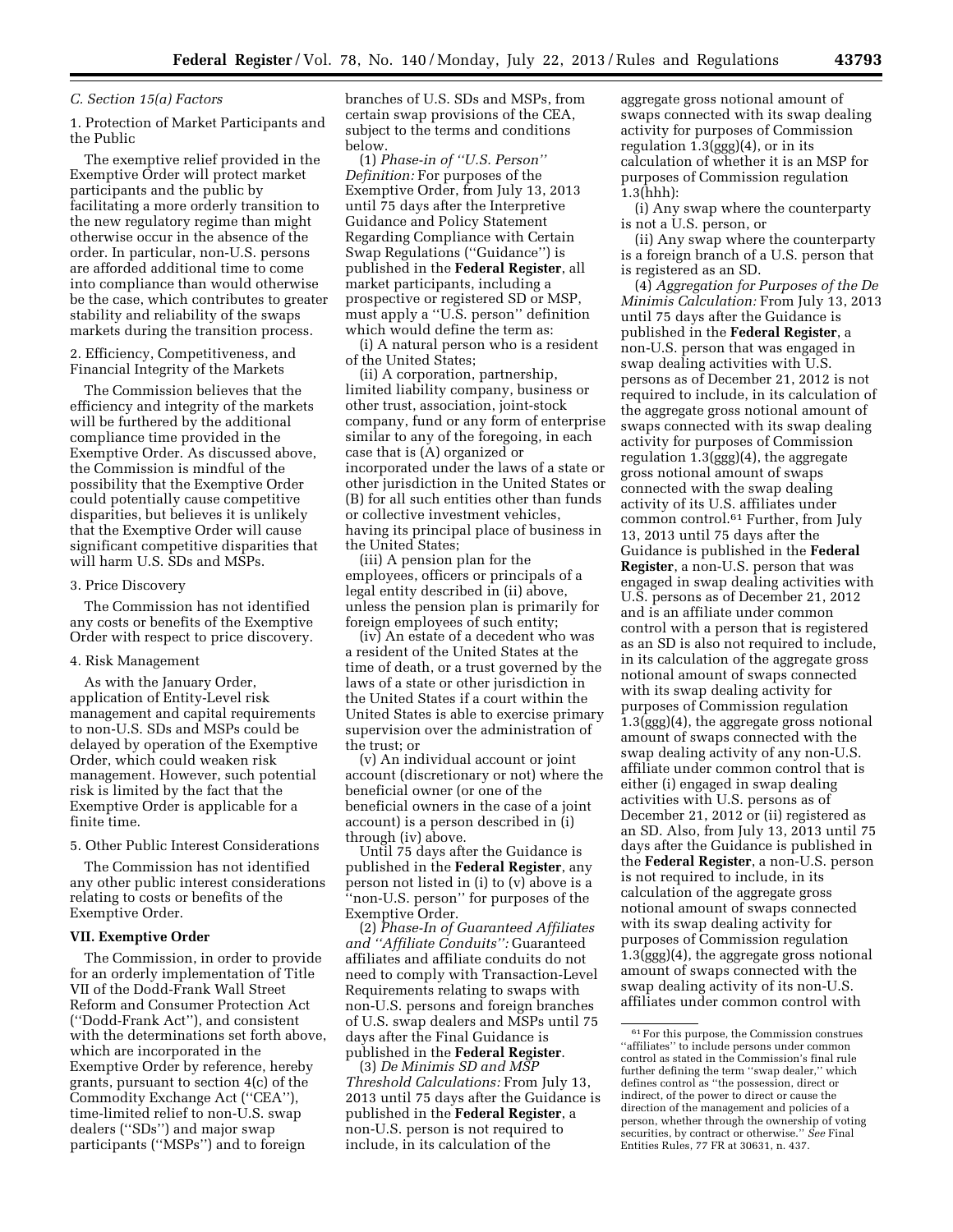#### *C. Section 15(a) Factors*

1. Protection of Market Participants and the Public

The exemptive relief provided in the Exemptive Order will protect market participants and the public by facilitating a more orderly transition to the new regulatory regime than might otherwise occur in the absence of the order. In particular, non-U.S. persons are afforded additional time to come into compliance than would otherwise be the case, which contributes to greater stability and reliability of the swaps markets during the transition process.

2. Efficiency, Competitiveness, and Financial Integrity of the Markets

The Commission believes that the efficiency and integrity of the markets will be furthered by the additional compliance time provided in the Exemptive Order. As discussed above, the Commission is mindful of the possibility that the Exemptive Order could potentially cause competitive disparities, but believes it is unlikely that the Exemptive Order will cause significant competitive disparities that will harm U.S. SDs and MSPs.

#### 3. Price Discovery

The Commission has not identified any costs or benefits of the Exemptive Order with respect to price discovery.

#### 4. Risk Management

As with the January Order, application of Entity-Level risk management and capital requirements to non-U.S. SDs and MSPs could be delayed by operation of the Exemptive Order, which could weaken risk management. However, such potential risk is limited by the fact that the Exemptive Order is applicable for a finite time.

# 5. Other Public Interest Considerations

The Commission has not identified any other public interest considerations relating to costs or benefits of the Exemptive Order.

#### **VII. Exemptive Order**

The Commission, in order to provide for an orderly implementation of Title VII of the Dodd-Frank Wall Street Reform and Consumer Protection Act (''Dodd-Frank Act''), and consistent with the determinations set forth above, which are incorporated in the Exemptive Order by reference, hereby grants, pursuant to section 4(c) of the Commodity Exchange Act (''CEA''), time-limited relief to non-U.S. swap dealers (''SDs'') and major swap participants (''MSPs'') and to foreign

branches of U.S. SDs and MSPs, from certain swap provisions of the CEA, subject to the terms and conditions below.

(1) *Phase-in of ''U.S. Person'' Definition:* For purposes of the Exemptive Order, from July 13, 2013 until 75 days after the Interpretive Guidance and Policy Statement Regarding Compliance with Certain Swap Regulations (''Guidance'') is published in the **Federal Register**, all market participants, including a prospective or registered SD or MSP, must apply a ''U.S. person'' definition which would define the term as:

(i) A natural person who is a resident of the United States;

(ii) A corporation, partnership, limited liability company, business or other trust, association, joint-stock company, fund or any form of enterprise similar to any of the foregoing, in each case that is (A) organized or incorporated under the laws of a state or other jurisdiction in the United States or (B) for all such entities other than funds or collective investment vehicles, having its principal place of business in the United States;

(iii) A pension plan for the employees, officers or principals of a legal entity described in (ii) above, unless the pension plan is primarily for foreign employees of such entity;

(iv) An estate of a decedent who was a resident of the United States at the time of death, or a trust governed by the laws of a state or other jurisdiction in the United States if a court within the United States is able to exercise primary supervision over the administration of the trust; or

(v) An individual account or joint account (discretionary or not) where the beneficial owner (or one of the beneficial owners in the case of a joint account) is a person described in (i) through (iv) above.

Until 75 days after the Guidance is published in the **Federal Register**, any person not listed in (i) to (v) above is a ''non-U.S. person'' for purposes of the Exemptive Order.

(2) *Phase-In of Guaranteed Affiliates and ''Affiliate Conduits'':* Guaranteed affiliates and affiliate conduits do not need to comply with Transaction-Level Requirements relating to swaps with non-U.S. persons and foreign branches of U.S. swap dealers and MSPs until 75 days after the Final Guidance is published in the **Federal Register**.

(3) *De Minimis SD and MSP Threshold Calculations:* From July 13, 2013 until 75 days after the Guidance is published in the **Federal Register**, a non-U.S. person is not required to include, in its calculation of the

aggregate gross notional amount of swaps connected with its swap dealing activity for purposes of Commission regulation 1.3(ggg)(4), or in its calculation of whether it is an MSP for purposes of Commission regulation 1.3(hhh):

(i) Any swap where the counterparty is not a U.S. person, or

(ii) Any swap where the counterparty is a foreign branch of a U.S. person that is registered as an SD.

(4) *Aggregation for Purposes of the De Minimis Calculation:* From July 13, 2013 until 75 days after the Guidance is published in the **Federal Register**, a non-U.S. person that was engaged in swap dealing activities with U.S. persons as of December 21, 2012 is not required to include, in its calculation of the aggregate gross notional amount of swaps connected with its swap dealing activity for purposes of Commission regulation 1.3(ggg)(4), the aggregate gross notional amount of swaps connected with the swap dealing activity of its U.S. affiliates under common control.61 Further, from July 13, 2013 until 75 days after the Guidance is published in the **Federal Register**, a non-U.S. person that was engaged in swap dealing activities with U.S. persons as of December 21, 2012 and is an affiliate under common control with a person that is registered as an SD is also not required to include, in its calculation of the aggregate gross notional amount of swaps connected with its swap dealing activity for purposes of Commission regulation 1.3(ggg)(4), the aggregate gross notional amount of swaps connected with the swap dealing activity of any non-U.S. affiliate under common control that is either (i) engaged in swap dealing activities with U.S. persons as of December 21, 2012 or (ii) registered as an SD. Also, from July 13, 2013 until 75 days after the Guidance is published in the **Federal Register**, a non-U.S. person is not required to include, in its calculation of the aggregate gross notional amount of swaps connected with its swap dealing activity for purposes of Commission regulation 1.3(ggg)(4), the aggregate gross notional amount of swaps connected with the swap dealing activity of its non-U.S. affiliates under common control with

 $^{61}\mathrm{For}$  this purpose, the Commission construes ''affiliates'' to include persons under common control as stated in the Commission's final rule further defining the term ''swap dealer,'' which defines control as ''the possession, direct or indirect, of the power to direct or cause the direction of the management and policies of a person, whether through the ownership of voting securities, by contract or otherwise.'' *See* Final Entities Rules, 77 FR at 30631, n. 437.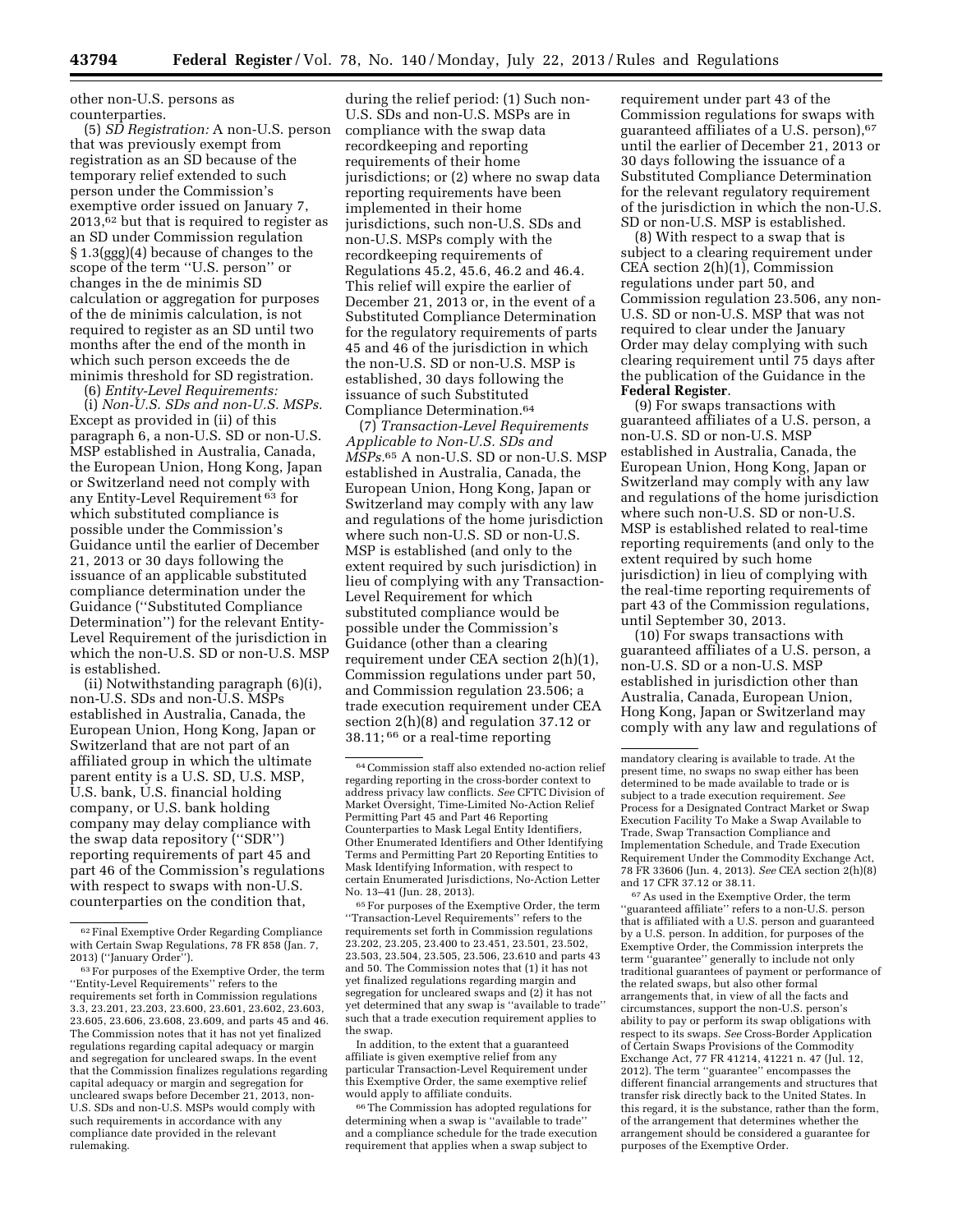other non-U.S. persons as counterparties.

(5) *SD Registration:* A non-U.S. person that was previously exempt from registration as an SD because of the temporary relief extended to such person under the Commission's exemptive order issued on January 7,  $2013,62$  but that is required to register as an SD under Commission regulation § 1.3(ggg)(4) because of changes to the scope of the term ''U.S. person'' or changes in the de minimis SD calculation or aggregation for purposes of the de minimis calculation, is not required to register as an SD until two months after the end of the month in which such person exceeds the de minimis threshold for SD registration.

(6) *Entity-Level Requirements:* 

(i) *Non-U.S. SDs and non-U.S. MSPs.*  Except as provided in (ii) of this paragraph 6, a non-U.S. SD or non-U.S. MSP established in Australia, Canada, the European Union, Hong Kong, Japan or Switzerland need not comply with any Entity-Level Requirement 63 for which substituted compliance is possible under the Commission's Guidance until the earlier of December 21, 2013 or 30 days following the issuance of an applicable substituted compliance determination under the Guidance (''Substituted Compliance Determination'') for the relevant Entity-Level Requirement of the jurisdiction in which the non-U.S. SD or non-U.S. MSP is established.

(ii) Notwithstanding paragraph (6)(i), non-U.S. SDs and non-U.S. MSPs established in Australia, Canada, the European Union, Hong Kong, Japan or Switzerland that are not part of an affiliated group in which the ultimate parent entity is a U.S. SD, U.S. MSP, U.S. bank, U.S. financial holding company, or U.S. bank holding company may delay compliance with the swap data repository (''SDR'') reporting requirements of part 45 and part 46 of the Commission's regulations with respect to swaps with non-U.S. counterparties on the condition that,

during the relief period: (1) Such non-U.S. SDs and non-U.S. MSPs are in compliance with the swap data recordkeeping and reporting requirements of their home jurisdictions; or (2) where no swap data reporting requirements have been implemented in their home jurisdictions, such non-U.S. SDs and non-U.S. MSPs comply with the recordkeeping requirements of Regulations 45.2, 45.6, 46.2 and 46.4. This relief will expire the earlier of December 21, 2013 or, in the event of a Substituted Compliance Determination for the regulatory requirements of parts 45 and 46 of the jurisdiction in which the non-U.S. SD or non-U.S. MSP is established, 30 days following the issuance of such Substituted Compliance Determination.64

(7) *Transaction-Level Requirements Applicable to Non-U.S. SDs and MSPs.*65 A non-U.S. SD or non-U.S. MSP established in Australia, Canada, the European Union, Hong Kong, Japan or Switzerland may comply with any law and regulations of the home jurisdiction where such non-U.S. SD or non-U.S. MSP is established (and only to the extent required by such jurisdiction) in lieu of complying with any Transaction-Level Requirement for which substituted compliance would be possible under the Commission's Guidance (other than a clearing requirement under CEA section 2(h)(1), Commission regulations under part 50, and Commission regulation 23.506; a trade execution requirement under CEA section 2(h)(8) and regulation 37.12 or 38.11; 66 or a real-time reporting

In addition, to the extent that a guaranteed affiliate is given exemptive relief from any particular Transaction-Level Requirement under this Exemptive Order, the same exemptive relief would apply to affiliate conduits.

66The Commission has adopted regulations for determining when a swap is ''available to trade'' and a compliance schedule for the trade execution requirement that applies when a swap subject to

requirement under part 43 of the Commission regulations for swaps with guaranteed affiliates of a U.S. person),67 until the earlier of December 21, 2013 or 30 days following the issuance of a Substituted Compliance Determination for the relevant regulatory requirement of the jurisdiction in which the non-U.S. SD or non-U.S. MSP is established.

(8) With respect to a swap that is subject to a clearing requirement under CEA section 2(h)(1), Commission regulations under part 50, and Commission regulation 23.506, any non-U.S. SD or non-U.S. MSP that was not required to clear under the January Order may delay complying with such clearing requirement until 75 days after the publication of the Guidance in the **Federal Register**.

(9) For swaps transactions with guaranteed affiliates of a U.S. person, a non-U.S. SD or non-U.S. MSP established in Australia, Canada, the European Union, Hong Kong, Japan or Switzerland may comply with any law and regulations of the home jurisdiction where such non-U.S. SD or non-U.S. MSP is established related to real-time reporting requirements (and only to the extent required by such home jurisdiction) in lieu of complying with the real-time reporting requirements of part 43 of the Commission regulations, until September 30, 2013.

(10) For swaps transactions with guaranteed affiliates of a U.S. person, a non-U.S. SD or a non-U.S. MSP established in jurisdiction other than Australia, Canada, European Union, Hong Kong, Japan or Switzerland may comply with any law and regulations of

 $^{67}\mathrm{As}$  used in the Exemptive Order, the term 'guaranteed affiliate'' refers to a non-U.S. person that is affiliated with a U.S. person and guaranteed by a U.S. person. In addition, for purposes of the Exemptive Order, the Commission interprets the term ''guarantee'' generally to include not only traditional guarantees of payment or performance of the related swaps, but also other formal arrangements that, in view of all the facts and circumstances, support the non-U.S. person's ability to pay or perform its swap obligations with respect to its swaps. *See* Cross-Border Application of Certain Swaps Provisions of the Commodity Exchange Act, 77 FR 41214, 41221 n. 47 (Jul. 12, 2012). The term ''guarantee'' encompasses the different financial arrangements and structures that transfer risk directly back to the United States. In this regard, it is the substance, rather than the form, of the arrangement that determines whether the arrangement should be considered a guarantee for purposes of the Exemptive Order.

<sup>62</sup>Final Exemptive Order Regarding Compliance with Certain Swap Regulations, 78 FR 858 (Jan. 7, 2013) (''January Order'').

<sup>63</sup>For purposes of the Exemptive Order, the term ''Entity-Level Requirements'' refers to the requirements set forth in Commission regulations 3.3, 23.201, 23.203, 23.600, 23.601, 23.602, 23.603, 23.605, 23.606, 23.608, 23.609, and parts 45 and 46. The Commission notes that it has not yet finalized regulations regarding capital adequacy or margin and segregation for uncleared swaps. In the event that the Commission finalizes regulations regarding capital adequacy or margin and segregation for uncleared swaps before December 21, 2013, non-U.S. SDs and non-U.S. MSPs would comply with such requirements in accordance with any compliance date provided in the relevant rulemaking.

<sup>64</sup>Commission staff also extended no-action relief regarding reporting in the cross-border context to address privacy law conflicts. *See* CFTC Division of Market Oversight, Time-Limited No-Action Relief Permitting Part 45 and Part 46 Reporting Counterparties to Mask Legal Entity Identifiers, Other Enumerated Identifiers and Other Identifying Terms and Permitting Part 20 Reporting Entities to Mask Identifying Information, with respect to certain Enumerated Jurisdictions, No-Action Letter No. 13–41 (Jun. 28, 2013).

<sup>65</sup>For purposes of the Exemptive Order, the term ''Transaction-Level Requirements'' refers to the requirements set forth in Commission regulations 23.202, 23.205, 23.400 to 23.451, 23.501, 23.502, 23.503, 23.504, 23.505, 23.506, 23.610 and parts 43 and 50. The Commission notes that (1) it has not yet finalized regulations regarding margin and segregation for uncleared swaps and (2) it has not yet determined that any swap is ''available to trade'' such that a trade execution requirement applies to the swap.

mandatory clearing is available to trade. At the present time, no swaps no swap either has been determined to be made available to trade or is subject to a trade execution requirement. *See*  Process for a Designated Contract Market or Swap Execution Facility To Make a Swap Available to Trade, Swap Transaction Compliance and Implementation Schedule, and Trade Execution Requirement Under the Commodity Exchange Act, 78 FR 33606 (Jun. 4, 2013). *See* CEA section 2(h)(8) and 17 CFR 37.12 or 38.11.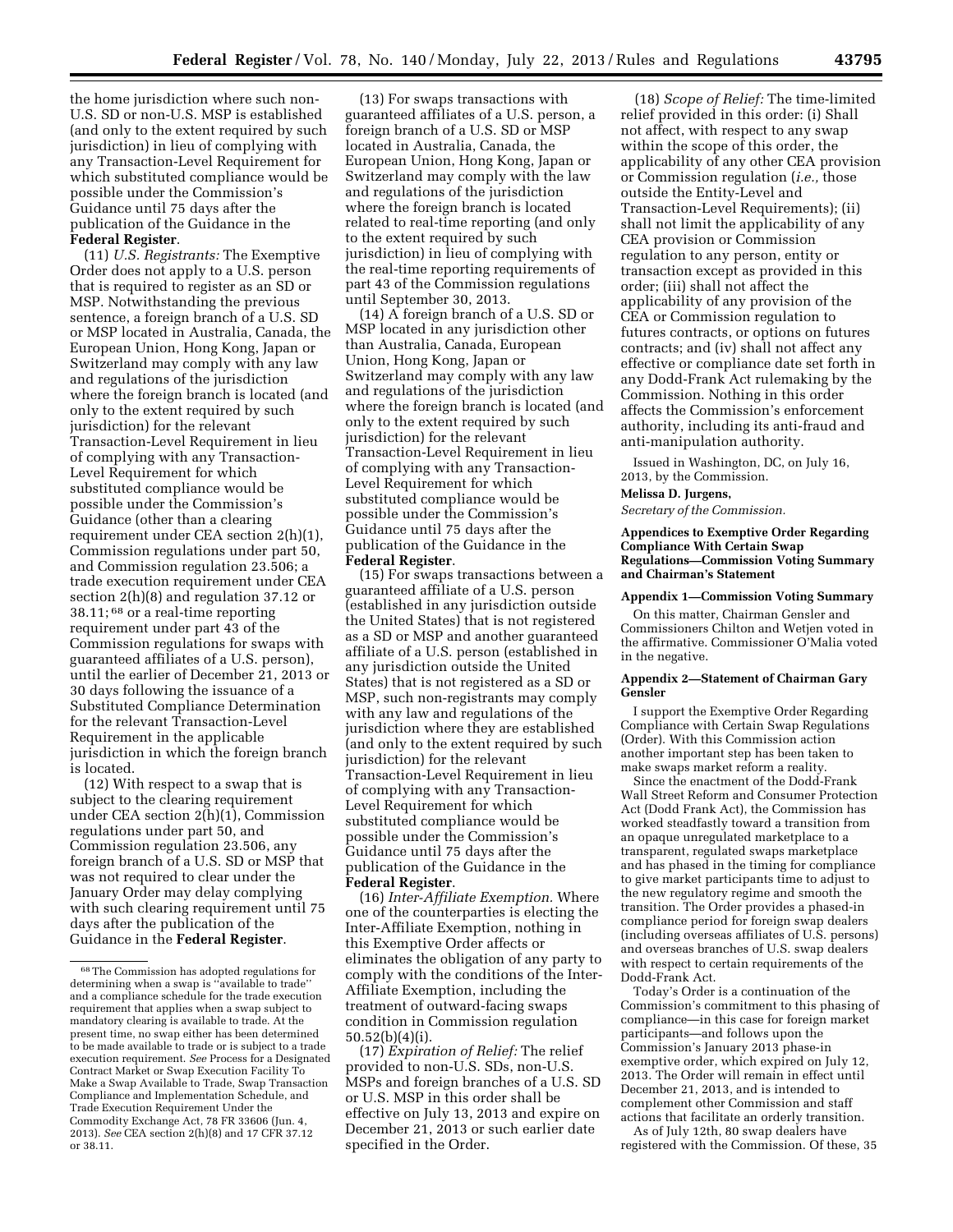the home jurisdiction where such non-U.S. SD or non-U.S. MSP is established (and only to the extent required by such jurisdiction) in lieu of complying with any Transaction-Level Requirement for which substituted compliance would be possible under the Commission's Guidance until 75 days after the publication of the Guidance in the **Federal Register**.

(11) *U.S. Registrants:* The Exemptive Order does not apply to a U.S. person that is required to register as an SD or MSP. Notwithstanding the previous sentence, a foreign branch of a U.S. SD or MSP located in Australia, Canada, the European Union, Hong Kong, Japan or Switzerland may comply with any law and regulations of the jurisdiction where the foreign branch is located (and only to the extent required by such jurisdiction) for the relevant Transaction-Level Requirement in lieu of complying with any Transaction-Level Requirement for which substituted compliance would be possible under the Commission's Guidance (other than a clearing requirement under CEA section 2(h)(1), Commission regulations under part 50, and Commission regulation 23.506; a trade execution requirement under CEA section 2(h)(8) and regulation 37.12 or 38.11; 68 or a real-time reporting requirement under part 43 of the Commission regulations for swaps with guaranteed affiliates of a U.S. person), until the earlier of December 21, 2013 or 30 days following the issuance of a Substituted Compliance Determination for the relevant Transaction-Level Requirement in the applicable jurisdiction in which the foreign branch is located.

(12) With respect to a swap that is subject to the clearing requirement under CEA section 2(h)(1), Commission regulations under part 50, and Commission regulation 23.506, any foreign branch of a U.S. SD or MSP that was not required to clear under the January Order may delay complying with such clearing requirement until 75 days after the publication of the Guidance in the **Federal Register**.

(13) For swaps transactions with guaranteed affiliates of a U.S. person, a foreign branch of a U.S. SD or MSP located in Australia, Canada, the European Union, Hong Kong, Japan or Switzerland may comply with the law and regulations of the jurisdiction where the foreign branch is located related to real-time reporting (and only to the extent required by such jurisdiction) in lieu of complying with the real-time reporting requirements of part 43 of the Commission regulations until September 30, 2013.

(14) A foreign branch of a U.S. SD or MSP located in any jurisdiction other than Australia, Canada, European Union, Hong Kong, Japan or Switzerland may comply with any law and regulations of the jurisdiction where the foreign branch is located (and only to the extent required by such jurisdiction) for the relevant Transaction-Level Requirement in lieu of complying with any Transaction-Level Requirement for which substituted compliance would be possible under the Commission's Guidance until 75 days after the publication of the Guidance in the **Federal Register**.

(15) For swaps transactions between a guaranteed affiliate of a U.S. person (established in any jurisdiction outside the United States) that is not registered as a SD or MSP and another guaranteed affiliate of a U.S. person (established in any jurisdiction outside the United States) that is not registered as a SD or MSP, such non-registrants may comply with any law and regulations of the jurisdiction where they are established (and only to the extent required by such jurisdiction) for the relevant Transaction-Level Requirement in lieu of complying with any Transaction-Level Requirement for which substituted compliance would be possible under the Commission's Guidance until 75 days after the publication of the Guidance in the **Federal Register**.

(16) *Inter-Affiliate Exemption.* Where one of the counterparties is electing the Inter-Affiliate Exemption, nothing in this Exemptive Order affects or eliminates the obligation of any party to comply with the conditions of the Inter-Affiliate Exemption, including the treatment of outward-facing swaps condition in Commission regulation 50.52(b)(4)(i).

(17) *Expiration of Relief:* The relief provided to non-U.S. SDs, non-U.S. MSPs and foreign branches of a U.S. SD or U.S. MSP in this order shall be effective on July 13, 2013 and expire on December 21, 2013 or such earlier date specified in the Order.

(18) *Scope of Relief:* The time-limited relief provided in this order: (i) Shall not affect, with respect to any swap within the scope of this order, the applicability of any other CEA provision or Commission regulation (*i.e.,* those outside the Entity-Level and Transaction-Level Requirements); (ii) shall not limit the applicability of any CEA provision or Commission regulation to any person, entity or transaction except as provided in this order; (iii) shall not affect the applicability of any provision of the CEA or Commission regulation to futures contracts, or options on futures contracts; and (iv) shall not affect any effective or compliance date set forth in any Dodd-Frank Act rulemaking by the Commission. Nothing in this order affects the Commission's enforcement authority, including its anti-fraud and anti-manipulation authority.

Issued in Washington, DC, on July 16, 2013, by the Commission.

### **Melissa D. Jurgens,**

*Secretary of the Commission.* 

#### **Appendices to Exemptive Order Regarding Compliance With Certain Swap Regulations—Commission Voting Summary and Chairman's Statement**

## **Appendix 1—Commission Voting Summary**

On this matter, Chairman Gensler and Commissioners Chilton and Wetjen voted in the affirmative. Commissioner O'Malia voted in the negative.

### **Appendix 2—Statement of Chairman Gary Gensler**

I support the Exemptive Order Regarding Compliance with Certain Swap Regulations (Order). With this Commission action another important step has been taken to make swaps market reform a reality.

Since the enactment of the Dodd-Frank Wall Street Reform and Consumer Protection Act (Dodd Frank Act), the Commission has worked steadfastly toward a transition from an opaque unregulated marketplace to a transparent, regulated swaps marketplace and has phased in the timing for compliance to give market participants time to adjust to the new regulatory regime and smooth the transition. The Order provides a phased-in compliance period for foreign swap dealers (including overseas affiliates of U.S. persons) and overseas branches of U.S. swap dealers with respect to certain requirements of the Dodd-Frank Act.

Today's Order is a continuation of the Commission's commitment to this phasing of compliance—in this case for foreign market participants—and follows upon the Commission's January 2013 phase-in exemptive order, which expired on July 12, 2013. The Order will remain in effect until December 21, 2013, and is intended to complement other Commission and staff actions that facilitate an orderly transition.

As of July 12th, 80 swap dealers have registered with the Commission. Of these, 35

<sup>68</sup>The Commission has adopted regulations for determining when a swap is ''available to trade'' and a compliance schedule for the trade execution requirement that applies when a swap subject to mandatory clearing is available to trade. At the present time, no swap either has been determined to be made available to trade or is subject to a trade execution requirement. *See* Process for a Designated Contract Market or Swap Execution Facility To Make a Swap Available to Trade, Swap Transaction Compliance and Implementation Schedule, and Trade Execution Requirement Under the Commodity Exchange Act, 78 FR 33606 (Jun. 4, 2013). *See* CEA section 2(h)(8) and 17 CFR 37.12 or 38.11.